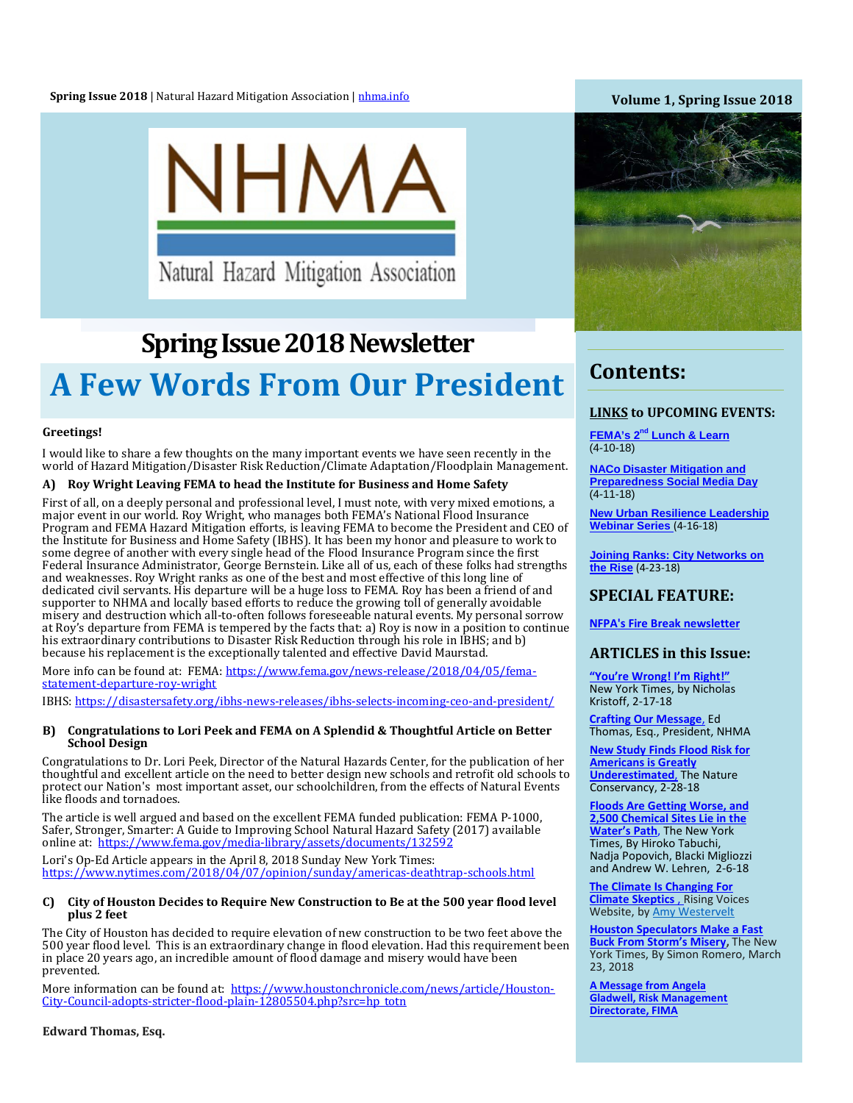**Spring Issue 2018** | Natural Hazard Mitigation Association [| nhma.info](http://nhma.info/)



# **Spring Issue 2018 Newsletter A Few Words From Our President Contents:**

#### **Greetings!**

I would like to share a few thoughts on the many important events we have seen recently in the world of Hazard Mitigation/Disaster Risk Reduction/Climate Adaptation/Floodplain Management.

#### **A) Roy Wright Leaving FEMA to head the Institute for Business and Home Safety**

First of all, on a deeply personal and professional level, I must note, with very mixed emotions, a major event in our world. Roy Wright, who manages both FEMA's National Flood Insurance Program and FEMA Hazard Mitigation efforts, is leaving FEMA to become the President and CEO of the Institute for Business and Home Safety (IBHS). It has been my honor and pleasure to work to some degree of another with every single head of the Flood Insurance Program since the first Federal Insurance Administrator, George Bernstein. Like all of us, each of these folks had strengths and weaknesses. Roy Wright ranks as one of the best and most effective of this long line of dedicated civil servants. His departure will be a huge loss to FEMA. Roy has been a friend of and supporter to NHMA and locally based efforts to reduce the growing toll of generally avoidable misery and destruction which all-to-often follows foreseeable natural events. My personal sorrow at Roy's departure from FEMA is tempered by the facts that: a) Roy is now in a position to continue his extraordinary contributions to Disaster Risk Reduction through his role in IBHS; and b) because his replacement is the exceptionally talented and effective David Maurstad.

More info can be found at: FEMA[: https://www.fema.gov/news-release/2018/04/05/fema](https://www.fema.gov/news-release/2018/04/05/fema-statement-departure-roy-wright)[statement-departure-roy-wright](https://www.fema.gov/news-release/2018/04/05/fema-statement-departure-roy-wright)

IBHS:<https://disastersafety.org/ibhs-news-releases/ibhs-selects-incoming-ceo-and-president/>

#### **B) Congratulations to Lori Peek and FEMA on A Splendid & Thoughtful Article on Better School Design**

Congratulations to Dr. Lori Peek, Director of the Natural Hazards Center, for the publication of her thoughtful and excellent article on the need to better design new schools and retrofit old schools to protect our Nation's most important asset, our schoolchildren, from the effects of Natural Events like floods and tornadoes.

The article is well argued and based on the excellent FEMA funded publication: FEMA P-1000, Safer, Stronger, Smarter: A Guide to Improving School Natural Hazard Safety (2017) available online at:<https://www.fema.gov/media-library/assets/documents/132592>

Lori's Op-Ed Article appears in the April 8, 2018 Sunday New York Times: <https://www.nytimes.com/2018/04/07/opinion/sunday/americas-deathtrap-schools.html>

#### **C) City of Houston Decides to Require New Construction to Be at the 500 year flood level plus 2 feet**

The City of Houston has decided to require elevation of new construction to be two feet above the 500 year flood level. This is an extraordinary change in flood elevation. Had this requirement been in place 20 years ago, an incredible amount of flood damage and misery would have been prevented.

More information can be found at: [https://www.houstonchronicle.com/news/article/Houston-](https://www.houstonchronicle.com/news/article/Houston-City-Council-adopts-stricter-flood-plain-12805504.php?src=hp_totn)[City-Council-adopts-stricter-flood-plain-12805504.php?src=hp\\_totn](https://www.houstonchronicle.com/news/article/Houston-City-Council-adopts-stricter-flood-plain-12805504.php?src=hp_totn)

**Edward Thomas, Esq.**

#### **Volume 1, Spring Issue 2018**



#### **LINKS to UPCOMING EVENTS:**

**FEMA's 2nd [Lunch & Learn](https://fema.connectsolutions.com/rnpn-ll/)** (4-10-18)

**NACo [Disaster Mitigation and](http://www.naco.org/blog/naco-disaster-mitigation-and-preparedness-social-media-day-april-11)  [Preparedness Social Media](http://www.naco.org/blog/naco-disaster-mitigation-and-preparedness-social-media-day-april-11) Day** (4-11-18)

**[New Urban Resilience Leadership](https://register.gotowebinar.com/register/2809945290614297603)  [Webinar Series](https://register.gotowebinar.com/register/2809945290614297603)** (4-16-18)

**[Joining Ranks: City Networks on](http://events.r20.constantcontact.com/register/event?oeidk=a07ef8kgav743c2fc08&llr=sgxoeyrab)  [the Rise](http://events.r20.constantcontact.com/register/event?oeidk=a07ef8kgav743c2fc08&llr=sgxoeyrab)** (4-23-18)

#### **SPECIAL FEATURE:**

**[NFPA's Fire Break newsletter](http://ebm.e.nfpa.org/c/tag/hBaqsdoB8VFIlB9l8HHNswWDoRY/doc.html?t_sparams=FWOUuBnDWLbQN0tDTtQfGFRz0gWgPXJlqhGGUqMN-zQXSc-LkBI5-97TVzgaHOP)**

#### **ARTICLES in this Issue:**

**["You're Wrong! I'm Right!"](https://www.nytimes.com/2018/02/17/opinion/sunday/liberal-conservative-divide.html?rref=collection%2Fcolumn%2Fnicholas-kristof&action=click&contentCollection=opinion®ion=stream&module=stream_unit&version=latest&contentPlacement=2&pgtype=collection)** New York Times, b[y Nicholas](https://www.nytimes.com/column/nicholas-kristof?action=click&contentCollection=Opinion&module=ExtendedByline®ion=Header&pgtype=article)  [Kristoff,](https://www.nytimes.com/column/nicholas-kristof?action=click&contentCollection=Opinion&module=ExtendedByline®ion=Header&pgtype=article) 2-17-18

**[Crafting Our Message](#page-9-0)**, Ed Thomas, Esq., President, NHMA

**[New Study Finds Flood Risk for](#page-10-0)  [Americans is Greatly](#page-10-0)  [Underestimated](#page-10-0)**, The Nature Conservancy, 2-28-18

**Floods [Are Getting Worse, and](#page-11-0)  [2,500 Chemical Sites Lie in the](#page-11-0)  Water's Path**[, The New York](#page-11-0)  [Nadja Popovich,](https://www.nytimes.com/by/nadja-popovich) Blacki Migliozzi [and Andrew W. Lehren, 2-6-18](#page-11-0)

**[The Climate Is Changing For](#page-12-0)  [Climate Skeptics](#page-12-0)** , Rising Voices Website, by [Amy Westervelt](https://eur03.safelinks.protection.outlook.com/?url=https%3A%2F%2Fwww.huffingtonpost.com%2Fauthor%2Famy-westervelt&data=02%7C01%7C%7C55634bcb643d44fda6fe08d5933f23a2%7C84df9e7fe9f640afb435aaaaaaaaaaaa%7C1%7C0%7C636576821742928919&sdata=2rSeLw9cBhMs8EW1s2FIro4DpAsveT2usWWRgSLOQfY%3D&reserved=0)

**[Houston Speculators Make a Fast](#page-13-0)  [Buck From Storm's Misery,](#page-13-0)** The New York Times, By [Simon Romero,](https://www.nytimes.com/by/simon-romero) March 23, 2018

**[A Message from Angela](#page-14-0)  [Gladwell, Risk Management](#page-14-0)  [Directorate, FIMA](#page-14-0)**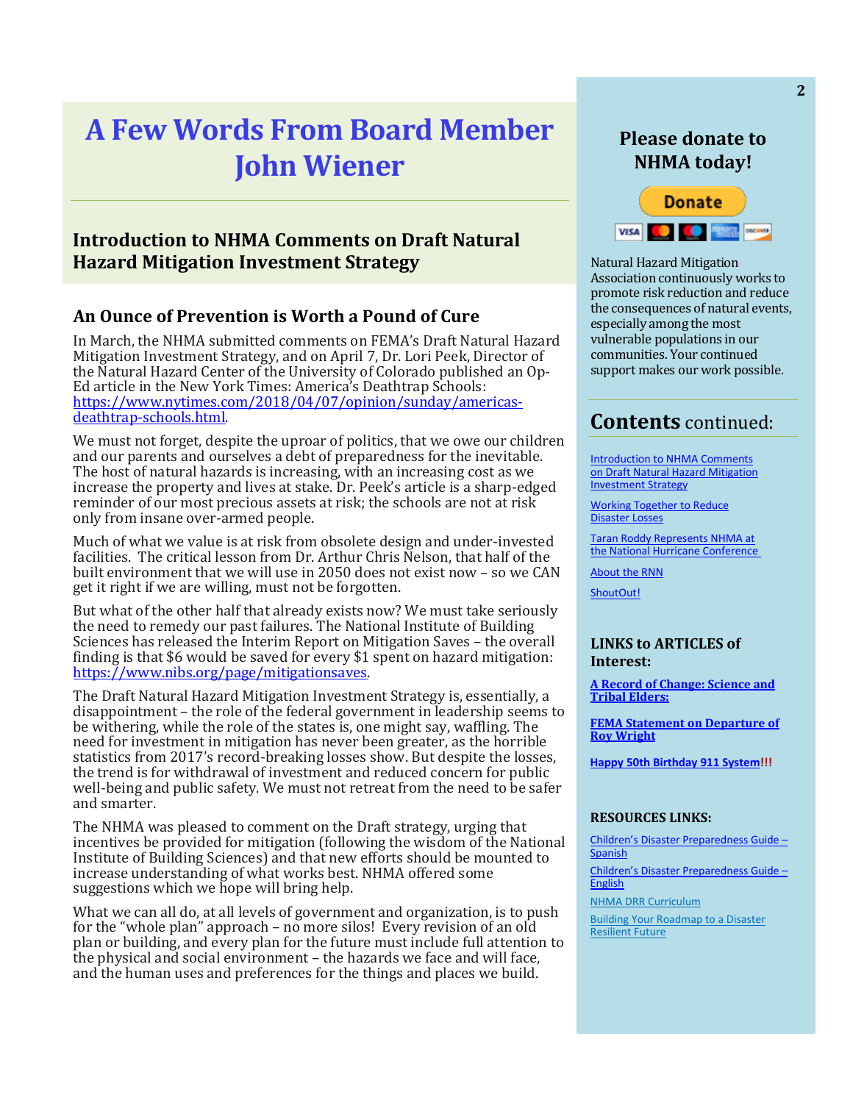# **A Few Words From Board Member John Wiener**

#### <span id="page-1-0"></span>**Introduction to NHMA Comments on Draft Natural Hazard Mitigation Investment Strategy**

#### **An Ounce of Prevention is Worth a Pound of Cure**

In March, the NHMA submitted comments on FEMA's Draft Natural Hazard Mitigation Investment Strategy, and on April 7, Dr. Lori Peek, Director of the Natural Hazard Center of the University of Colorado published an Op-Ed article in the New York Times: America's Deathtrap Schools: [https://www.nytimes.com/2018/04/07/opinion/sunday/americas-](https://nam04.safelinks.protection.outlook.com/?url=https%3A%2F%2Fwww.nytimes.com%2F2018%2F04%2F07%2Fopinion%2Fsunday%2Famericas-deathtrap-schools.html&data=02%7C01%7C%7C9bcaef2cdafc48186fce08d59e70448c%7C84df9e7fe9f640afb435aaaaaaaaaaaa%7C1%7C0%7C636589127372177030&sdata=R5Q%2FLFIPw7dji2MGeZ8rE70UuJ5nJuWI%2BID%2BTzi6Xd4%3D&reserved=0) [deathtrap-schools.html.](https://nam04.safelinks.protection.outlook.com/?url=https%3A%2F%2Fwww.nytimes.com%2F2018%2F04%2F07%2Fopinion%2Fsunday%2Famericas-deathtrap-schools.html&data=02%7C01%7C%7C9bcaef2cdafc48186fce08d59e70448c%7C84df9e7fe9f640afb435aaaaaaaaaaaa%7C1%7C0%7C636589127372177030&sdata=R5Q%2FLFIPw7dji2MGeZ8rE70UuJ5nJuWI%2BID%2BTzi6Xd4%3D&reserved=0)

We must not forget, despite the uproar of politics, that we owe our children and our parents and ourselves a debt of preparedness for the inevitable. The host of natural hazards is increasing, with an increasing cost as we increase the property and lives at stake. Dr. Peek's article is a sharp-edged reminder of our most precious assets at risk; the schools are not at risk only from insane over-armed people.

Much of what we value is at risk from obsolete design and under-invested facilities. The critical lesson from Dr. Arthur Chris Nelson, that half of the built environment that we will use in 2050 does not exist now – so we CAN get it right if we are willing, must not be forgotten.

But what of the other half that already exists now? We must take seriously the need to remedy our past failures. The National Institute of Building Sciences has released the Interim Report on Mitigation Saves – the overall finding is that \$6 would be saved for every \$1 spent on hazard mitigation: [https://www.nibs.org/page/mitigationsaves.](https://www.nibs.org/page/mitigationsaves)

The Draft Natural Hazard Mitigation Investment Strategy is, essentially, a disappointment – the role of the federal government in leadership seems to be withering, while the role of the states is, one might say, waffling. The need for investment in mitigation has never been greater, as the horrible statistics from 2017's record-breaking losses show. But despite the losses, the trend is for withdrawal of investment and reduced concern for public well-being and public safety. We must not retreat from the need to be safer and smarter.

The NHMA was pleased to comment on the Draft strategy, urging that incentives be provided for mitigation (following the wisdom of the National Institute of Building Sciences) and that new efforts should be mounted to increase understanding of what works best. NHMA offered some suggestions which we hope will bring help.

What we can all do, at all levels of government and organization, is to push for the "whole plan" approach – no more silos! Every revision of an old plan or building, and every plan for the future must include full attention to the physical and social environment – the hazards we face and will face, and the human uses and preferences for the things and places we build.

#### **Please donate to NHMA today!**



Natural Hazard Mitigation Association continuously works to promote risk reduction and reduce the consequences of natural events, especially among the most vulnerable populations in our communities. Your continued support makes our work possible.

#### **Contents** continued:

[Introduction to NHMA Comments](#page-1-0)  [on Draft Natural Hazard Mitigation](#page-1-0)  [Investment Strategy](#page-1-0)

[Working Together to Reduce](#page-2-0)  [Disaster Losses](#page-2-0)

Taran Roddy Represents NHMA at the National Hurricane Conference

[About the RNN](#page-13-1)

[ShoutOut!](#page-11-1)

#### **LINKS to ARTICLES of Interest:**

**[A Record of Change: Science and](https://www.youtube.com/watch?v=47ufP_a9hPE)  [Tribal Elders:](https://www.youtube.com/watch?v=47ufP_a9hPE)**

**[FEMA Statement on Departure of](https://www.fema.gov/news-release/2018/04/05/fema-statement-departure-roy-wright)  [Roy Wright](https://www.fema.gov/news-release/2018/04/05/fema-statement-departure-roy-wright)**

**[Happy 50th Birthday 911 System!](http://www.nbc29.com/story/37528189/50th-anniversary-of-911-system-ecc-says-technology-is-making-911-calls-harder-to-trace)!!**

#### **RESOURCES LINKS:**

[Children's Disaster Preparedness Guide –](http://nhma.info/wp-content/uploads/2012/03/508_Disaster_Activity_Book_for_Kids_Spanish_20170914_508c.pdf) **[Spanish](http://nhma.info/wp-content/uploads/2012/03/508_Disaster_Activity_Book_for_Kids_Spanish_20170914_508c.pdf)** 

[Children's Disaster Preparedness Guide –](http://nhma.info/wp-content/uploads/2012/03/508_Disaster_Activity_Book_for_Kids_English_20170907.pdf) **[English](http://nhma.info/wp-content/uploads/2012/03/508_Disaster_Activity_Book_for_Kids_English_20170907.pdf)** 

[NHMA DRR Curriculum](http://nhma.info/drr/)

[Building Your Roadmap to a Disaster](http://nhma.info/wp-content/uploads/2017/05/BuildingYourRoadMaptoDisasterResilientFuture_20170430_DELIVERABLE.pdf)  [Resilient Future](http://nhma.info/wp-content/uploads/2017/05/BuildingYourRoadMaptoDisasterResilientFuture_20170430_DELIVERABLE.pdf)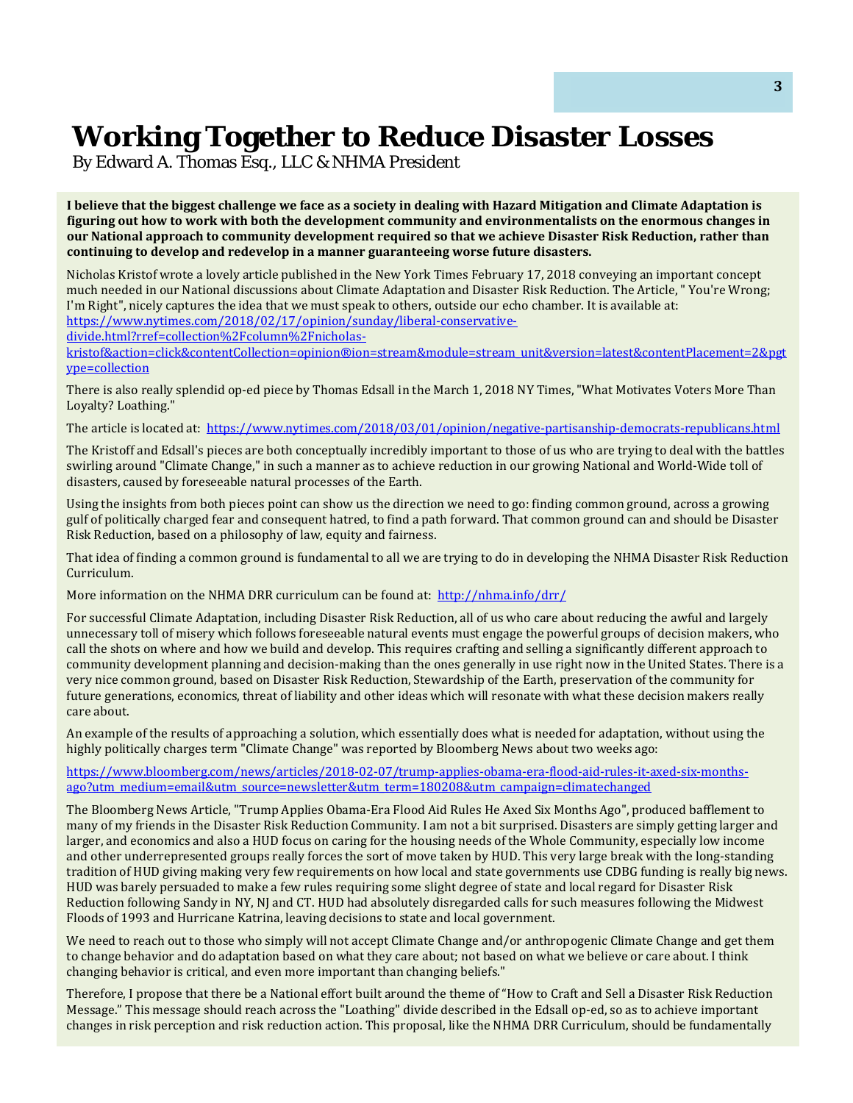<span id="page-2-0"></span>By Edward A. Thomas Esq., LLC & NHMA President

**I believe that the biggest challenge we face as a society in dealing with Hazard Mitigation and Climate Adaptation is figuring out how to work with both the development community and environmentalists on the enormous changes in our National approach to community development required so that we achieve Disaster Risk Reduction, rather than continuing to develop and redevelop in a manner guaranteeing worse future disasters.**

Nicholas Kristof wrote a lovely article published in the New York Times February 17, 2018 conveying an important concept much needed in our National discussions about Climate Adaptation and Disaster Risk Reduction. The Article, " You're Wrong; I'm Right", nicely captures the idea that we must speak to others, outside our echo chamber. It is available at: [https://www.nytimes.com/2018/02/17/opinion/sunday/liberal-conservative-](https://www.nytimes.com/2018/02/17/opinion/sunday/liberal-conservative-divide.html?rref=collection%2Fcolumn%2Fnicholas-kristof&action=click&contentCollection=opinion®ion=stream&module=stream_unit&version=latest&contentPlacement=2&pgtype=collection)

[divide.html?rref=collection%2Fcolumn%2Fnicholas-](https://www.nytimes.com/2018/02/17/opinion/sunday/liberal-conservative-divide.html?rref=collection%2Fcolumn%2Fnicholas-kristof&action=click&contentCollection=opinion®ion=stream&module=stream_unit&version=latest&contentPlacement=2&pgtype=collection)

[kristof&action=click&contentCollection=opinion®ion=stream&module=stream\\_unit&version=latest&contentPlacement=2&pgt](https://www.nytimes.com/2018/02/17/opinion/sunday/liberal-conservative-divide.html?rref=collection%2Fcolumn%2Fnicholas-kristof&action=click&contentCollection=opinion®ion=stream&module=stream_unit&version=latest&contentPlacement=2&pgtype=collection) [ype=collection](https://www.nytimes.com/2018/02/17/opinion/sunday/liberal-conservative-divide.html?rref=collection%2Fcolumn%2Fnicholas-kristof&action=click&contentCollection=opinion®ion=stream&module=stream_unit&version=latest&contentPlacement=2&pgtype=collection)

There is also really splendid op-ed piece by Thomas Edsall in the March 1, 2018 NY Times, "What Motivates Voters More Than Loyalty? Loathing."

The article is located at:<https://www.nytimes.com/2018/03/01/opinion/negative-partisanship-democrats-republicans.html>

The Kristoff and Edsall's pieces are both conceptually incredibly important to those of us who are trying to deal with the battles swirling around "Climate Change," in such a manner as to achieve reduction in our growing National and World-Wide toll of disasters, caused by foreseeable natural processes of the Earth.

Using the insights from both pieces point can show us the direction we need to go: finding common ground, across a growing gulf of politically charged fear and consequent hatred, to find a path forward. That common ground can and should be Disaster Risk Reduction, based on a philosophy of law, equity and fairness.

That idea of finding a common ground is fundamental to all we are trying to do in developing the NHMA Disaster Risk Reduction Curriculum.

More information on the NHMA DRR curriculum can be found at:<http://nhma.info/drr/>

For successful Climate Adaptation, including Disaster Risk Reduction, all of us who care about reducing the awful and largely unnecessary toll of misery which follows foreseeable natural events must engage the powerful groups of decision makers, who call the shots on where and how we build and develop. This requires crafting and selling a significantly different approach to community development planning and decision-making than the ones generally in use right now in the United States. There is a very nice common ground, based on Disaster Risk Reduction, Stewardship of the Earth, preservation of the community for future generations, economics, threat of liability and other ideas which will resonate with what these decision makers really care about.

An example of the results of approaching a solution, which essentially does what is needed for adaptation, without using the highly politically charges term "Climate Change" was reported by Bloomberg News about two weeks ago:

[https://www.bloomberg.com/news/articles/2018-02-07/trump-applies-obama-era-flood-aid-rules-it-axed-six-months](https://www.bloomberg.com/news/articles/2018-02-07/trump-applies-obama-era-flood-aid-rules-it-axed-six-months-ago?utm_medium=email&utm_source=newsletter&utm_term=180208&utm_campaign=climatechanged)[ago?utm\\_medium=email&utm\\_source=newsletter&utm\\_term=180208&utm\\_campaign=climatechanged](https://www.bloomberg.com/news/articles/2018-02-07/trump-applies-obama-era-flood-aid-rules-it-axed-six-months-ago?utm_medium=email&utm_source=newsletter&utm_term=180208&utm_campaign=climatechanged)

The Bloomberg News Article, "Trump Applies Obama-Era Flood Aid Rules He Axed Six Months Ago", produced bafflement to many of my friends in the Disaster Risk Reduction Community. I am not a bit surprised. Disasters are simply getting larger and larger, and economics and also a HUD focus on caring for the housing needs of the Whole Community, especially low income and other underrepresented groups really forces the sort of move taken by HUD. This very large break with the long-standing tradition of HUD giving making very few requirements on how local and state governments use CDBG funding is really big news. HUD was barely persuaded to make a few rules requiring some slight degree of state and local regard for Disaster Risk Reduction following Sandy in NY, NJ and CT. HUD had absolutely disregarded calls for such measures following the Midwest Floods of 1993 and Hurricane Katrina, leaving decisions to state and local government.

We need to reach out to those who simply will not accept Climate Change and/or anthropogenic Climate Change and get them to change behavior and do adaptation based on what they care about; not based on what we believe or care about. I think changing behavior is critical, and even more important than changing beliefs."

Therefore, I propose that there be a National effort built around the theme of "How to Craft and Sell a Disaster Risk Reduction Message." This message should reach across the "Loathing" divide described in the Edsall op-ed, so as to achieve important changes in risk perception and risk reduction action. This proposal, like the NHMA DRR Curriculum, should be fundamentally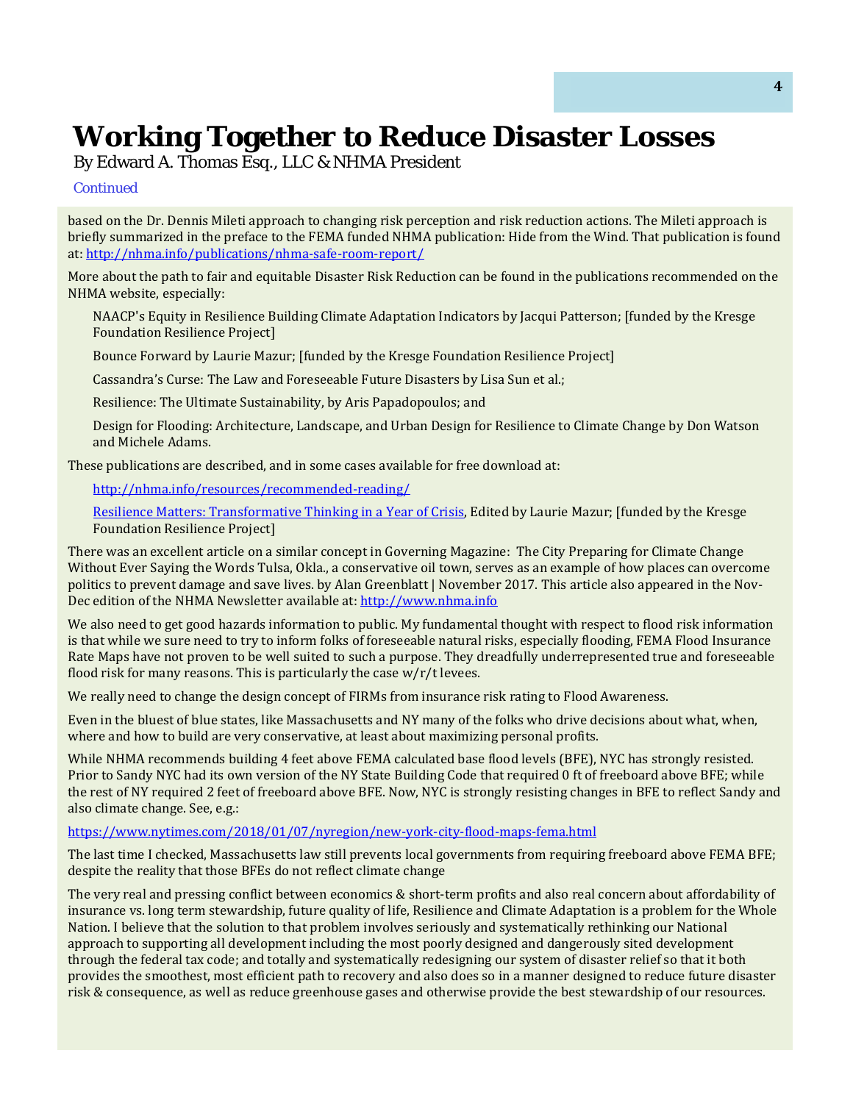By Edward A. Thomas Esq., LLC & NHMA President

#### *Continued*

based on the Dr. Dennis Mileti approach to changing risk perception and risk reduction actions. The Mileti approach is briefly summarized in the preface to the FEMA funded NHMA publication: Hide from the Wind. That publication is found at: <http://nhma.info/publications/nhma-safe-room-report/>

More about the path to fair and equitable Disaster Risk Reduction can be found in the publications recommended on the NHMA website, especially:

NAACP's Equity in Resilience Building Climate Adaptation Indicators by Jacqui Patterson; [funded by the Kresge Foundation Resilience Project]

Bounce Forward by Laurie Mazur; [funded by the Kresge Foundation Resilience Project]

Cassandra's Curse: The Law and Foreseeable Future Disasters by Lisa Sun et al.;

Resilience: The Ultimate Sustainability, by Aris Papadopoulos; and

Design for Flooding: Architecture, Landscape, and Urban Design for Resilience to Climate Change by Don Watson and Michele Adams.

These publications are described, and in some cases available for free download at:

<http://nhma.info/resources/recommended-reading/>

[Resilience Matters: Transformative Thinking in a Year of Crisis,](https://islandpress.org/resilience-matters-download) Edited by Laurie Mazur; [funded by the Kresge Foundation Resilience Project]

There was an excellent article on a similar concept in Governing Magazine: The City Preparing for Climate Change Without Ever Saying the Words Tulsa, Okla., a conservative oil town, serves as an example of how places can overcome politics to prevent damage and save lives. by Alan Greenblatt | November 2017. This article also appeared in the Nov-Dec edition of the NHMA Newsletter available at: [http://www.nhma.info](http://www.nhma.info/)

We also need to get good hazards information to public. My fundamental thought with respect to flood risk information is that while we sure need to try to inform folks of foreseeable natural risks, especially flooding, FEMA Flood Insurance Rate Maps have not proven to be well suited to such a purpose. They dreadfully underrepresented true and foreseeable flood risk for many reasons. This is particularly the case w/r/t levees.

We really need to change the design concept of FIRMs from insurance risk rating to Flood Awareness.

Even in the bluest of blue states, like Massachusetts and NY many of the folks who drive decisions about what, when, where and how to build are very conservative, at least about maximizing personal profits.

While NHMA recommends building 4 feet above FEMA calculated base flood levels (BFE), NYC has strongly resisted. Prior to Sandy NYC had its own version of the NY State Building Code that required 0 ft of freeboard above BFE; while the rest of NY required 2 feet of freeboard above BFE. Now, NYC is strongly resisting changes in BFE to reflect Sandy and also climate change. See, e.g.:

#### <https://www.nytimes.com/2018/01/07/nyregion/new-york-city-flood-maps-fema.html>

The last time I checked, Massachusetts law still prevents local governments from requiring freeboard above FEMA BFE; despite the reality that those BFEs do not reflect climate change

The very real and pressing conflict between economics & short-term profits and also real concern about affordability of insurance vs. long term stewardship, future quality of life, Resilience and Climate Adaptation is a problem for the Whole Nation. I believe that the solution to that problem involves seriously and systematically rethinking our National approach to supporting all development including the most poorly designed and dangerously sited development through the federal tax code; and totally and systematically redesigning our system of disaster relief so that it both provides the smoothest, most efficient path to recovery and also does so in a manner designed to reduce future disaster risk & consequence, as well as reduce greenhouse gases and otherwise provide the best stewardship of our resources.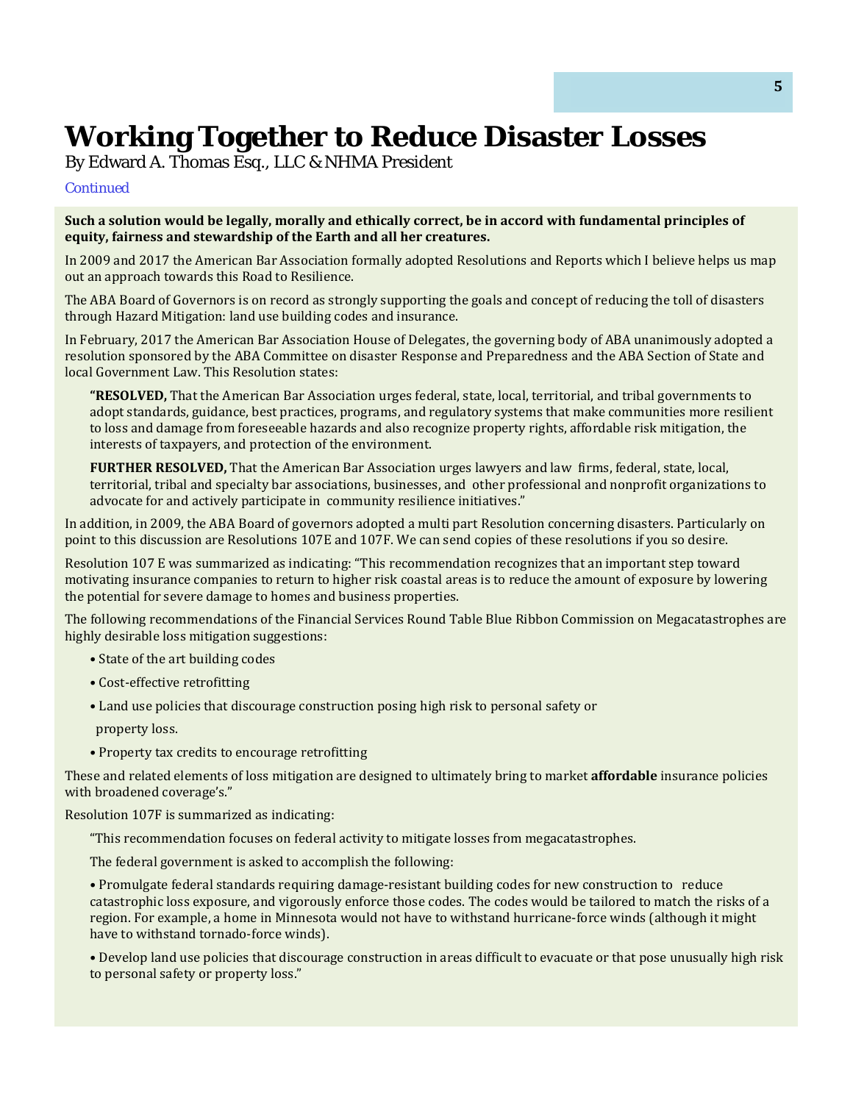By Edward A. Thomas Esq., LLC & NHMA President

#### *Continued*

#### **Such a solution would be legally, morally and ethically correct, be in accord with fundamental principles of equity, fairness and stewardship of the Earth and all her creatures.**

In 2009 and 2017 the American Bar Association formally adopted Resolutions and Reports which I believe helps us map out an approach towards this Road to Resilience.

The ABA Board of Governors is on record as strongly supporting the goals and concept of reducing the toll of disasters through Hazard Mitigation: land use building codes and insurance.

In February, 2017 the American Bar Association House of Delegates, the governing body of ABA unanimously adopted a resolution sponsored by the ABA Committee on disaster Response and Preparedness and the ABA Section of State and local Government Law. This Resolution states:

**"RESOLVED,** That the American Bar Association urges federal, state, local, territorial, and tribal governments to adopt standards, guidance, best practices, programs, and regulatory systems that make communities more resilient to loss and damage from foreseeable hazards and also recognize property rights, affordable risk mitigation, the interests of taxpayers, and protection of the environment.

**FURTHER RESOLVED,** That the American Bar Association urges lawyers and law firms, federal, state, local, territorial, tribal and specialty bar associations, businesses, and other professional and nonprofit organizations to advocate for and actively participate in community resilience initiatives."

In addition, in 2009, the ABA Board of governors adopted a multi part Resolution concerning disasters. Particularly on point to this discussion are Resolutions 107E and 107F. We can send copies of these resolutions if you so desire.

Resolution 107 E was summarized as indicating: "This recommendation recognizes that an important step toward motivating insurance companies to return to higher risk coastal areas is to reduce the amount of exposure by lowering the potential for severe damage to homes and business properties.

The following recommendations of the Financial Services Round Table Blue Ribbon Commission on Megacatastrophes are highly desirable loss mitigation suggestions:

- State of the art building codes
- Cost-effective retrofitting
- Land use policies that discourage construction posing high risk to personal safety or

property loss.

• Property tax credits to encourage retrofitting

These and related elements of loss mitigation are designed to ultimately bring to market **affordable** insurance policies with broadened coverage's."

Resolution 107F is summarized as indicating:

"This recommendation focuses on federal activity to mitigate losses from megacatastrophes.

The federal government is asked to accomplish the following:

• Promulgate federal standards requiring damage-resistant building codes for new construction to reduce catastrophic loss exposure, and vigorously enforce those codes. The codes would be tailored to match the risks of a region. For example, a home in Minnesota would not have to withstand hurricane-force winds (although it might have to withstand tornado-force winds).

• Develop land use policies that discourage construction in areas difficult to evacuate or that pose unusually high risk to personal safety or property loss."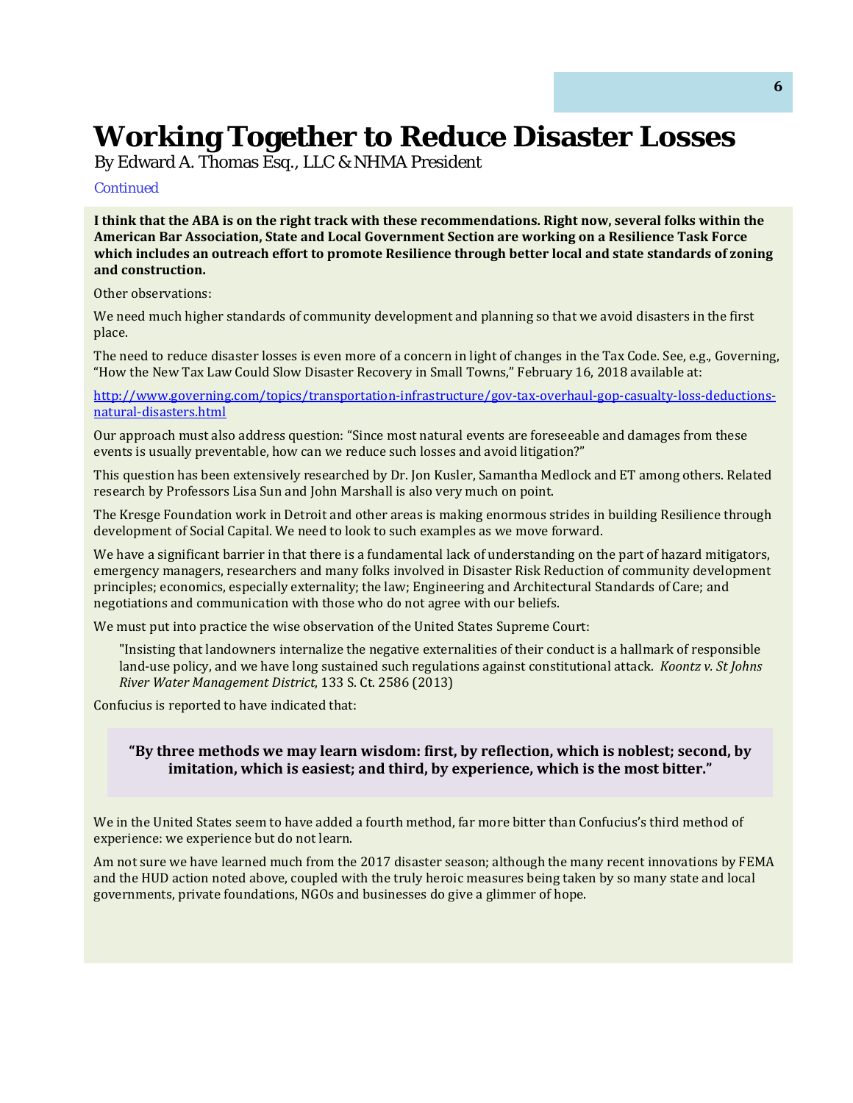By Edward A. Thomas Esq., LLC & NHMA President

#### *Continued*

**I think that the ABA is on the right track with these recommendations. Right now, several folks within the American Bar Association, State and Local Government Section are working on a Resilience Task Force which includes an outreach effort to promote Resilience through better local and state standards of zoning and construction.**

Other observations:

We need much higher standards of community development and planning so that we avoid disasters in the first place.

The need to reduce disaster losses is even more of a concern in light of changes in the Tax Code. See, e.g., Governing, "How the New Tax Law Could Slow Disaster Recovery in Small Towns," February 16, 2018 available at:

[http://www.governing.com/topics/transportation-infrastructure/gov-tax-overhaul-gop-casualty-loss-deductions](http://www.governing.com/topics/transportation-infrastructure/gov-tax-overhaul-gop-casualty-loss-deductions-natural-disasters.html)[natural-disasters.html](http://www.governing.com/topics/transportation-infrastructure/gov-tax-overhaul-gop-casualty-loss-deductions-natural-disasters.html)

Our approach must also address question: "Since most natural events are foreseeable and damages from these events is usually preventable, how can we reduce such losses and avoid litigation?"

This question has been extensively researched by Dr. Jon Kusler, Samantha Medlock and ET among others. Related research by Professors Lisa Sun and John Marshall is also very much on point.

The Kresge Foundation work in Detroit and other areas is making enormous strides in building Resilience through development of Social Capital. We need to look to such examples as we move forward.

We have a significant barrier in that there is a fundamental lack of understanding on the part of hazard mitigators, emergency managers, researchers and many folks involved in Disaster Risk Reduction of community development principles; economics, especially externality; the law; Engineering and Architectural Standards of Care; and negotiations and communication with those who do not agree with our beliefs.

We must put into practice the wise observation of the United States Supreme Court:

"Insisting that landowners internalize the negative externalities of their conduct is a hallmark of responsible land-use policy, and we have long sustained such regulations against constitutional attack. *Koontz v. St Johns River Water Management District*, 133 S. Ct. 2586 (2013)

Confucius is reported to have indicated that:

#### **"By three methods we may learn wisdom: first, by reflection, which is noblest; second, by imitation, which is easiest; and third, by experience, which is the most bitter."**

We in the United States seem to have added a fourth method, far more bitter than Confucius's third method of experience: we experience but do not learn.

Am not sure we have learned much from the 2017 disaster season; although the many recent innovations by FEMA and the HUD action noted above, coupled with the truly heroic measures being taken by so many state and local governments, private foundations, NGOs and businesses do give a glimmer of hope.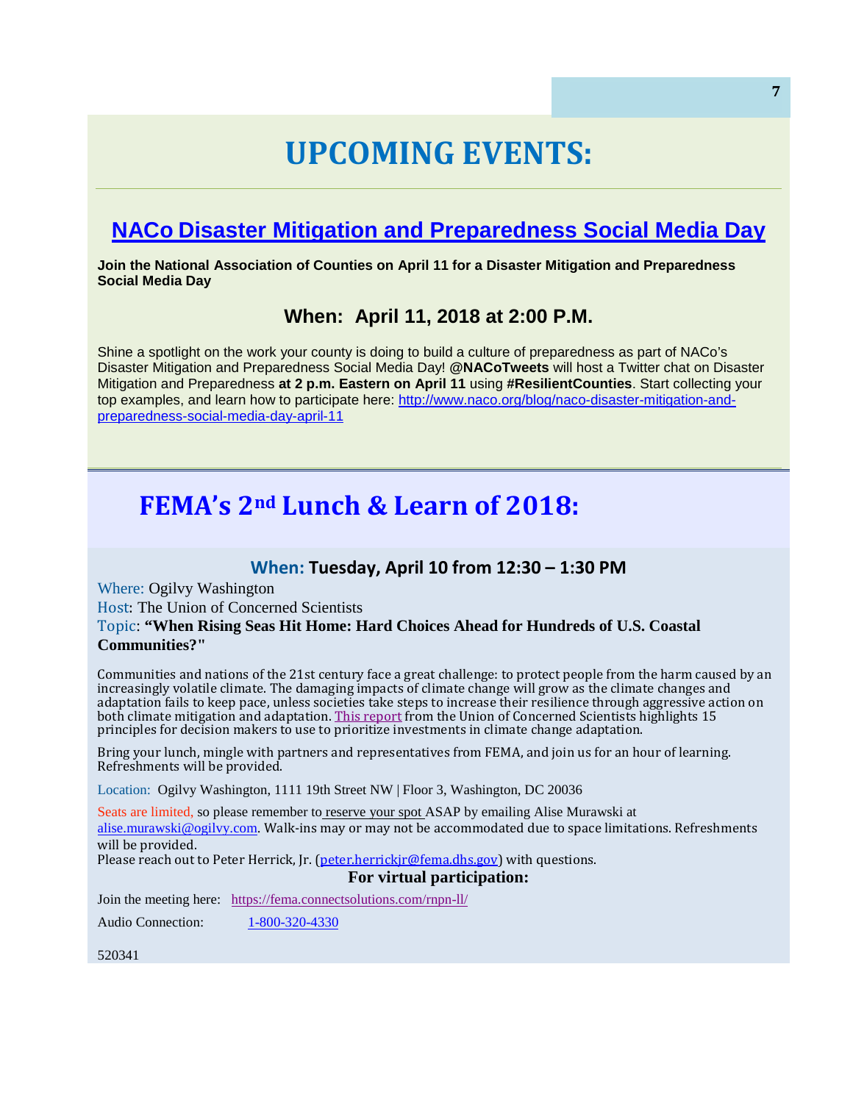# **UPCOMING EVENTS:**

### **NACo [Disaster Mitigation and Preparedness](http://www.naco.org/blog/naco-disaster-mitigation-and-preparedness-social-media-day-april-11) Social Media Day**

**Join the National Association of Counties on April 11 for a Disaster Mitigation and Preparedness Social Media Day**

#### **When: April 11, 2018 at 2:00 P.M.**

Shine a spotlight on the work your county is doing to build a culture of preparedness as part of NACo's Disaster Mitigation and Preparedness Social Media Day! **@NACoTweets** will host a Twitter chat on Disaster Mitigation and Preparedness **at 2 p.m. Eastern on April 11** using **#ResilientCounties**. Start collecting your top examples, and learn how to participate here: [http://www.naco.org/blog/naco-disaster-mitigation-and](https://nam03.safelinks.protection.outlook.com/?url=http%3A%2F%2Fnhma.wildapricot.org%2FEmailTracker%2FLinkTracker.ashx%3FlinkAndRecipientCode%3DkaYIxpMnkCe86jvRLwBDgZbGJUIUL5mWlrQxytgcZulo0QsKc8Kkzo7UWWjoxYbwsqmvhd7ytP60MkDJ48k%252b4jDb8BFLUP7WSTJwT%252bSyhkM%253d&data=02%7C01%7C%7C552ffc4ca2404667048108d594b1fe9a%7C84df9e7fe9f640afb435aaaaaaaaaaaa%7C1%7C0%7C636578414552560132&sdata=G4gccadVxnb5rAx90LGzzt5cmNigwxQQJqldNFs1pa8%3D&reserved=0)[preparedness-social-media-day-april-11](https://nam03.safelinks.protection.outlook.com/?url=http%3A%2F%2Fnhma.wildapricot.org%2FEmailTracker%2FLinkTracker.ashx%3FlinkAndRecipientCode%3DkaYIxpMnkCe86jvRLwBDgZbGJUIUL5mWlrQxytgcZulo0QsKc8Kkzo7UWWjoxYbwsqmvhd7ytP60MkDJ48k%252b4jDb8BFLUP7WSTJwT%252bSyhkM%253d&data=02%7C01%7C%7C552ffc4ca2404667048108d594b1fe9a%7C84df9e7fe9f640afb435aaaaaaaaaaaa%7C1%7C0%7C636578414552560132&sdata=G4gccadVxnb5rAx90LGzzt5cmNigwxQQJqldNFs1pa8%3D&reserved=0)

### **FEMA's 2nd Lunch & Learn of 2018:**

#### **When: Tuesday, April 10 from 12:30 – 1:30 PM**

Where: Ogilvy Washington

Host: The Union of Concerned Scientists

Topic: **"When Rising Seas Hit Home: Hard Choices Ahead for Hundreds of U.S. Coastal Communities?"**

Communities and nations of the 21st century face a great challenge: to protect people from the harm caused by an increasingly volatile climate. The damaging impacts of climate change will grow as the climate changes and adaptation fails to keep pace, unless societies take steps to increase their resilience through aggressive action on both climate mitigation and adaptation[. This report](https://eur01.safelinks.protection.outlook.com/?url=https%3A%2F%2Furldefense.proofpoint.com%2Fv2%2Furl%3Fu%3Dhttps-3A__www.ucsusa.org_global-2Dwarming_science-2Dand-2Dimpacts_impacts_climate-2Dresilience-2Dframework-2Dand-2Dprinciples-23.WpgwGXxG2Cg%26d%3DDwMFAg%26c%3D4JOzdpIlQcN5fHQL_PMhCQ%26r%3D-Fh4VUakxv-i16I9YCEXhWJHKyi9MdVybG0zNhTs9f0%26m%3D1iSITEYaKzYaBXrMKzB-zfev-asG9OZJx5h9KE5U6EQ%26s%3D9PHv17X7Ri7evdvc8GluEmVPXDXJp0XzmzSpKYfDKBA%26e%3D&data=02%7C01%7C%7C57875e9a95714e5a1c4c08d599954c0f%7C84df9e7fe9f640afb435aaaaaaaaaaaa%7C1%7C0%7C636583788857765494&sdata=xknNeP3mgQCRed65mWVzr11WCNcubxxaJ0I4WFmVz%2Fo%3D&reserved=0) from the Union of Concerned Scientists highlights 15 principles for decision makers to use to prioritize investments in climate change adaptation.

Bring your lunch, mingle with partners and representatives from FEMA, and join us for an hour of learning. Refreshments will be provided.

Location: Ogilvy Washington, 1111 19th Street NW | Floor 3, Washington, DC 20036

Seats are limited, so please remember to reserve your spot ASAP by emailing Alise Murawski at [alise.murawski@ogilvy.com.](mailto:alise.murawski@ogilvy.com) Walk-ins may or may not be accommodated due to space limitations. Refreshments will be provided.

Please reach out to Peter Herrick, Ir. (peter.herrickir@fema.dhs.gov) with questions.

#### **For virtual participation:**

Join the meeting here: [https://fema.connectsolutions.com/rnpn-ll/](https://eur01.safelinks.protection.outlook.com/?url=https%3A%2F%2Furldefense.proofpoint.com%2Fv2%2Furl%3Fu%3Dhttps-3A__fema.connectsolutions.com_rnpn-2Dll_%26d%3DDwMGaQ%26c%3D4JOzdpIlQcN5fHQL_PMhCQ%26r%3D-Fh4VUakxv-i16I9YCEXhWJHKyi9MdVybG0zNhTs9f0%26m%3D6LE8TVFuWHJ18pRjAOWLpmDfm8iyGqcK9YplhU_Q4hw%26s%3DJ0kaE7iuzr8iEFf_JE7MJNPYZ3ItacLyOVlQl5f-dds%26e%3D&data=02%7C01%7C%7C57875e9a95714e5a1c4c08d599954c0f%7C84df9e7fe9f640afb435aaaaaaaaaaaa%7C1%7C0%7C636583788857765494&sdata=tnLM6tYE13IqxmB8haFVAC2RItj5PsaMh4%2FUencwIyc%3D&reserved=0)

Audio Connection: [1-800-320-4330](tel:(800)%20320-4330)

520341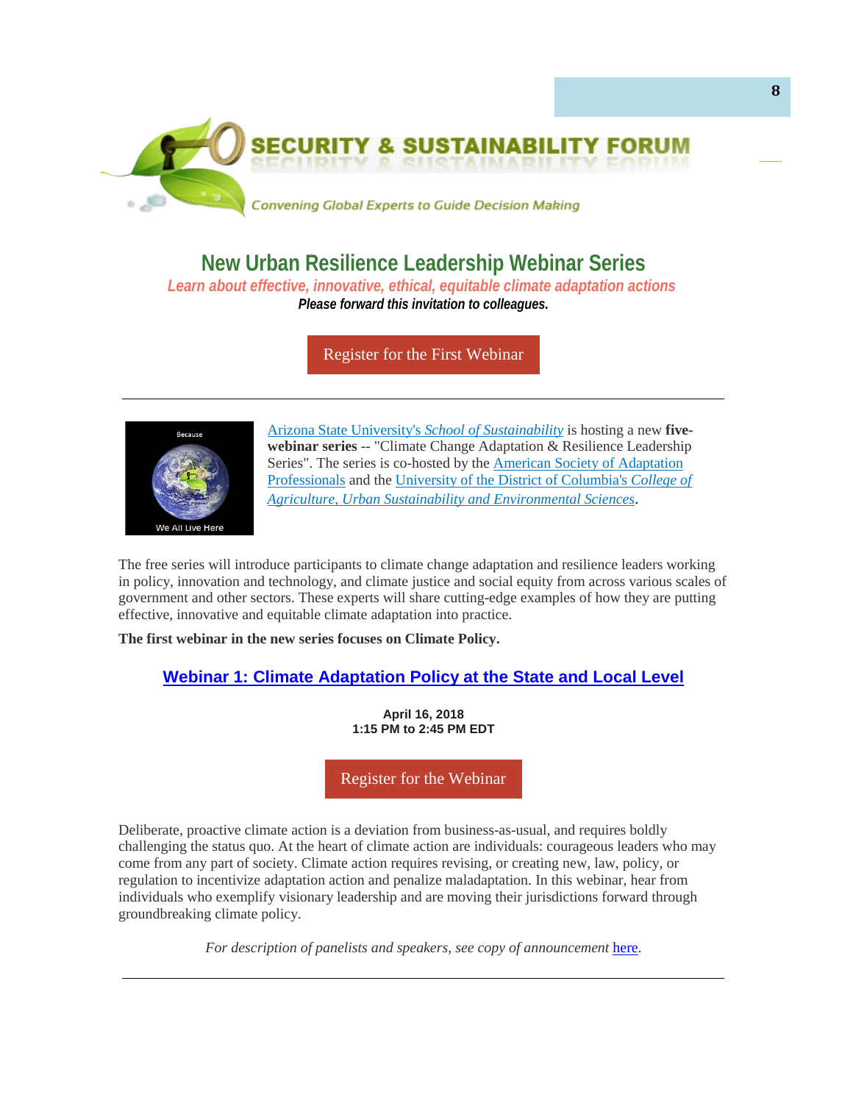

### **New Urban Resilience Leadership Webinar Series**

*Learn about effective, innovative, ethical, equitable climate adaptation actions Please forward this invitation to colleagues.*

[Register for the First Webinar](https://eur02.safelinks.protection.outlook.com/?url=http%3A%2F%2Fr20.rs6.net%2Ftn.jsp%3Ff%3D0014KyG05CuoHC1OcrKOasR4OUf_hyxzAda2SRkoBvhO9-tizcLhbxutLgS7nzHTsQsLETnzrpe6EzxrUncQJHU5m1QYq-TXINzYiseoMMulCTBMlG2M6nFiQlnSwEQLAcDsMNk117pxLCKlwjOxB5ScGr6PZBlKFRyQFCwi02XKt97UjO0LobpUydu5rzhhCJexf1Vpae8mHI%3D%26c%3D2PX-6EQ6J0aaw3pt53UhVMpZgweZQsKR8jf1umq1tQY4sV9q0ruhIg%3D%3D%26ch%3DXFdGWcNhwHR-Pe23hFk8_DkYQ4mm5LMyINWNOK5aHQs1RQULXN6naA%3D%3D&data=02%7C01%7C%7C0ae8ba8dabd64e7592da08d598c08aa4%7C84df9e7fe9f640afb435aaaaaaaaaaaa%7C1%7C0%7C636582875085789719&sdata=X3432MGOJC7mT9dY5VzFgxBWbLM8vxLDkLgJvLdcbro%3D&reserved=0)



[Arizona State University's](https://eur02.safelinks.protection.outlook.com/?url=http%3A%2F%2Fr20.rs6.net%2Ftn.jsp%3Ff%3D0014KyG05CuoHC1OcrKOasR4OUf_hyxzAda2SRkoBvhO9-tizcLhbxutGHd1kI3qJV2TF69ytcQTwETDirFvzffg2ObEqYb4iug4Ebgo9EGuNHho8JO-GnBIRlsMy4GcJl6kpKX59pe1pnMACfX25vOGg4nC-e12J3mGt7vS0V2POo%3D%26c%3D2PX-6EQ6J0aaw3pt53UhVMpZgweZQsKR8jf1umq1tQY4sV9q0ruhIg%3D%3D%26ch%3DXFdGWcNhwHR-Pe23hFk8_DkYQ4mm5LMyINWNOK5aHQs1RQULXN6naA%3D%3D&data=02%7C01%7C%7C0ae8ba8dabd64e7592da08d598c08aa4%7C84df9e7fe9f640afb435aaaaaaaaaaaa%7C1%7C0%7C636582875085789719&sdata=wqe4R6X5vqV53YyJDpxa4Ak%2BV8IL8o%2FGiieP%2FfOvc%2FA%3D&reserved=0) *[School of Sustainability](https://eur02.safelinks.protection.outlook.com/?url=http%3A%2F%2Fr20.rs6.net%2Ftn.jsp%3Ff%3D0014KyG05CuoHC1OcrKOasR4OUf_hyxzAda2SRkoBvhO9-tizcLhbxutGHd1kI3qJV2TF69ytcQTwETDirFvzffg2ObEqYb4iug4Ebgo9EGuNHho8JO-GnBIRlsMy4GcJl6kpKX59pe1pnMACfX25vOGg4nC-e12J3mGt7vS0V2POo%3D%26c%3D2PX-6EQ6J0aaw3pt53UhVMpZgweZQsKR8jf1umq1tQY4sV9q0ruhIg%3D%3D%26ch%3DXFdGWcNhwHR-Pe23hFk8_DkYQ4mm5LMyINWNOK5aHQs1RQULXN6naA%3D%3D&data=02%7C01%7C%7C0ae8ba8dabd64e7592da08d598c08aa4%7C84df9e7fe9f640afb435aaaaaaaaaaaa%7C1%7C0%7C636582875085789719&sdata=wqe4R6X5vqV53YyJDpxa4Ak%2BV8IL8o%2FGiieP%2FfOvc%2FA%3D&reserved=0)* is hosting a new **fivewebinar series** -- "Climate Change Adaptation & Resilience Leadership Series". The series is co-hosted by the [American Society of Adaptation](https://eur02.safelinks.protection.outlook.com/?url=http%3A%2F%2Fr20.rs6.net%2Ftn.jsp%3Ff%3D0014KyG05CuoHC1OcrKOasR4OUf_hyxzAda2SRkoBvhO9-tizcLhbxutFxE7fMo15tNPuao_gpTAIDWjdffZH08IsKWNNH2Ymj1Pl8n0TxG9h1tdZF2txNCaifjC9hBViBGpwfBI0W23kApvFm7tBuQTVor0VNbxEGe%26c%3D2PX-6EQ6J0aaw3pt53UhVMpZgweZQsKR8jf1umq1tQY4sV9q0ruhIg%3D%3D%26ch%3DXFdGWcNhwHR-Pe23hFk8_DkYQ4mm5LMyINWNOK5aHQs1RQULXN6naA%3D%3D&data=02%7C01%7C%7C0ae8ba8dabd64e7592da08d598c08aa4%7C84df9e7fe9f640afb435aaaaaaaaaaaa%7C1%7C0%7C636582875085789719&sdata=kprDR3Wv1eIVNQjvEzolDFyIPFByhoJSNmO27tIW77A%3D&reserved=0)  [Professionals](https://eur02.safelinks.protection.outlook.com/?url=http%3A%2F%2Fr20.rs6.net%2Ftn.jsp%3Ff%3D0014KyG05CuoHC1OcrKOasR4OUf_hyxzAda2SRkoBvhO9-tizcLhbxutFxE7fMo15tNPuao_gpTAIDWjdffZH08IsKWNNH2Ymj1Pl8n0TxG9h1tdZF2txNCaifjC9hBViBGpwfBI0W23kApvFm7tBuQTVor0VNbxEGe%26c%3D2PX-6EQ6J0aaw3pt53UhVMpZgweZQsKR8jf1umq1tQY4sV9q0ruhIg%3D%3D%26ch%3DXFdGWcNhwHR-Pe23hFk8_DkYQ4mm5LMyINWNOK5aHQs1RQULXN6naA%3D%3D&data=02%7C01%7C%7C0ae8ba8dabd64e7592da08d598c08aa4%7C84df9e7fe9f640afb435aaaaaaaaaaaa%7C1%7C0%7C636582875085789719&sdata=kprDR3Wv1eIVNQjvEzolDFyIPFByhoJSNmO27tIW77A%3D&reserved=0) and the [University of the District of Columbia's](https://eur02.safelinks.protection.outlook.com/?url=http%3A%2F%2Fr20.rs6.net%2Ftn.jsp%3Ff%3D0014KyG05CuoHC1OcrKOasR4OUf_hyxzAda2SRkoBvhO9-tizcLhbxutLgS7nzHTsQs2O51ZPgamBJjIwMqVk1mMecsJR3hIW_BGjGzDuW_FabQqrYI_61kmXFvjYoYjQrsbS9bZKufngSBYk8FlH4cbj57741-xVpW3GX9E_zi9qm2IPhlFIeYnA%3D%3D%26c%3D2PX-6EQ6J0aaw3pt53UhVMpZgweZQsKR8jf1umq1tQY4sV9q0ruhIg%3D%3D%26ch%3DXFdGWcNhwHR-Pe23hFk8_DkYQ4mm5LMyINWNOK5aHQs1RQULXN6naA%3D%3D&data=02%7C01%7C%7C0ae8ba8dabd64e7592da08d598c08aa4%7C84df9e7fe9f640afb435aaaaaaaaaaaa%7C1%7C0%7C636582875085789719&sdata=YK2t%2BRdx6MAdTjxSm%2FHon14Kt38vg2Hl1%2F3LVeM4Bds%3D&reserved=0) *[College of](https://eur02.safelinks.protection.outlook.com/?url=http%3A%2F%2Fr20.rs6.net%2Ftn.jsp%3Ff%3D0014KyG05CuoHC1OcrKOasR4OUf_hyxzAda2SRkoBvhO9-tizcLhbxutLgS7nzHTsQs2O51ZPgamBJjIwMqVk1mMecsJR3hIW_BGjGzDuW_FabQqrYI_61kmXFvjYoYjQrsbS9bZKufngSBYk8FlH4cbj57741-xVpW3GX9E_zi9qm2IPhlFIeYnA%3D%3D%26c%3D2PX-6EQ6J0aaw3pt53UhVMpZgweZQsKR8jf1umq1tQY4sV9q0ruhIg%3D%3D%26ch%3DXFdGWcNhwHR-Pe23hFk8_DkYQ4mm5LMyINWNOK5aHQs1RQULXN6naA%3D%3D&data=02%7C01%7C%7C0ae8ba8dabd64e7592da08d598c08aa4%7C84df9e7fe9f640afb435aaaaaaaaaaaa%7C1%7C0%7C636582875085789719&sdata=YK2t%2BRdx6MAdTjxSm%2FHon14Kt38vg2Hl1%2F3LVeM4Bds%3D&reserved=0)  [Agriculture, Urban Sustainability and Environmental Sciences](https://eur02.safelinks.protection.outlook.com/?url=http%3A%2F%2Fr20.rs6.net%2Ftn.jsp%3Ff%3D0014KyG05CuoHC1OcrKOasR4OUf_hyxzAda2SRkoBvhO9-tizcLhbxutLgS7nzHTsQs2O51ZPgamBJjIwMqVk1mMecsJR3hIW_BGjGzDuW_FabQqrYI_61kmXFvjYoYjQrsbS9bZKufngSBYk8FlH4cbj57741-xVpW3GX9E_zi9qm2IPhlFIeYnA%3D%3D%26c%3D2PX-6EQ6J0aaw3pt53UhVMpZgweZQsKR8jf1umq1tQY4sV9q0ruhIg%3D%3D%26ch%3DXFdGWcNhwHR-Pe23hFk8_DkYQ4mm5LMyINWNOK5aHQs1RQULXN6naA%3D%3D&data=02%7C01%7C%7C0ae8ba8dabd64e7592da08d598c08aa4%7C84df9e7fe9f640afb435aaaaaaaaaaaa%7C1%7C0%7C636582875085789719&sdata=YK2t%2BRdx6MAdTjxSm%2FHon14Kt38vg2Hl1%2F3LVeM4Bds%3D&reserved=0)*.

The free series will introduce participants to climate change adaptation and resilience leaders working in policy, innovation and technology, and climate justice and social equity from across various scales of government and other sectors. These experts will share cutting-edge examples of how they are putting effective, innovative and equitable climate adaptation into practice.

**The first webinar in the new series focuses on Climate Policy.**

#### **[Webinar 1: Climate Adaptation Policy at the State and Local Level](https://eur02.safelinks.protection.outlook.com/?url=http%3A%2F%2Fr20.rs6.net%2Ftn.jsp%3Ff%3D0014KyG05CuoHC1OcrKOasR4OUf_hyxzAda2SRkoBvhO9-tizcLhbxutLgS7nzHTsQsLETnzrpe6EzxrUncQJHU5m1QYq-TXINzYiseoMMulCTBMlG2M6nFiQlnSwEQLAcDsMNk117pxLCKlwjOxB5ScGr6PZBlKFRyQFCwi02XKt97UjO0LobpUydu5rzhhCJexf1Vpae8mHI%3D%26c%3D2PX-6EQ6J0aaw3pt53UhVMpZgweZQsKR8jf1umq1tQY4sV9q0ruhIg%3D%3D%26ch%3DXFdGWcNhwHR-Pe23hFk8_DkYQ4mm5LMyINWNOK5aHQs1RQULXN6naA%3D%3D&data=02%7C01%7C%7C0ae8ba8dabd64e7592da08d598c08aa4%7C84df9e7fe9f640afb435aaaaaaaaaaaa%7C1%7C0%7C636582875085789719&sdata=X3432MGOJC7mT9dY5VzFgxBWbLM8vxLDkLgJvLdcbro%3D&reserved=0)**

**April 16, 2018 1:15 PM to 2:45 PM EDT**

[Register for the Webinar](https://eur02.safelinks.protection.outlook.com/?url=http%3A%2F%2Fr20.rs6.net%2Ftn.jsp%3Ff%3D0014KyG05CuoHC1OcrKOasR4OUf_hyxzAda2SRkoBvhO9-tizcLhbxutLgS7nzHTsQsLETnzrpe6EzxrUncQJHU5m1QYq-TXINzYiseoMMulCTBMlG2M6nFiQlnSwEQLAcDsMNk117pxLCKlwjOxB5ScGr6PZBlKFRyQFCwi02XKt97UjO0LobpUydu5rzhhCJexf1Vpae8mHI%3D%26c%3D2PX-6EQ6J0aaw3pt53UhVMpZgweZQsKR8jf1umq1tQY4sV9q0ruhIg%3D%3D%26ch%3DXFdGWcNhwHR-Pe23hFk8_DkYQ4mm5LMyINWNOK5aHQs1RQULXN6naA%3D%3D&data=02%7C01%7C%7C0ae8ba8dabd64e7592da08d598c08aa4%7C84df9e7fe9f640afb435aaaaaaaaaaaa%7C1%7C0%7C636582875085789719&sdata=X3432MGOJC7mT9dY5VzFgxBWbLM8vxLDkLgJvLdcbro%3D&reserved=0)

Deliberate, proactive climate action is a deviation from business-as-usual, and requires boldly challenging the status quo. At the heart of climate action are individuals: courageous leaders who may come from any part of society. Climate action requires revising, or creating new, law, policy, or regulation to incentivize adaptation action and penalize maladaptation. In this webinar, hear from individuals who exemplify visionary leadership and are moving their jurisdictions forward through groundbreaking climate policy.

*For description of panelists and speakers, see copy of announcement* [here.](http://nhma.info/panel-set-for-the-1st-urban-resilience-webinar-in-new-asu-series-april-16-2018/)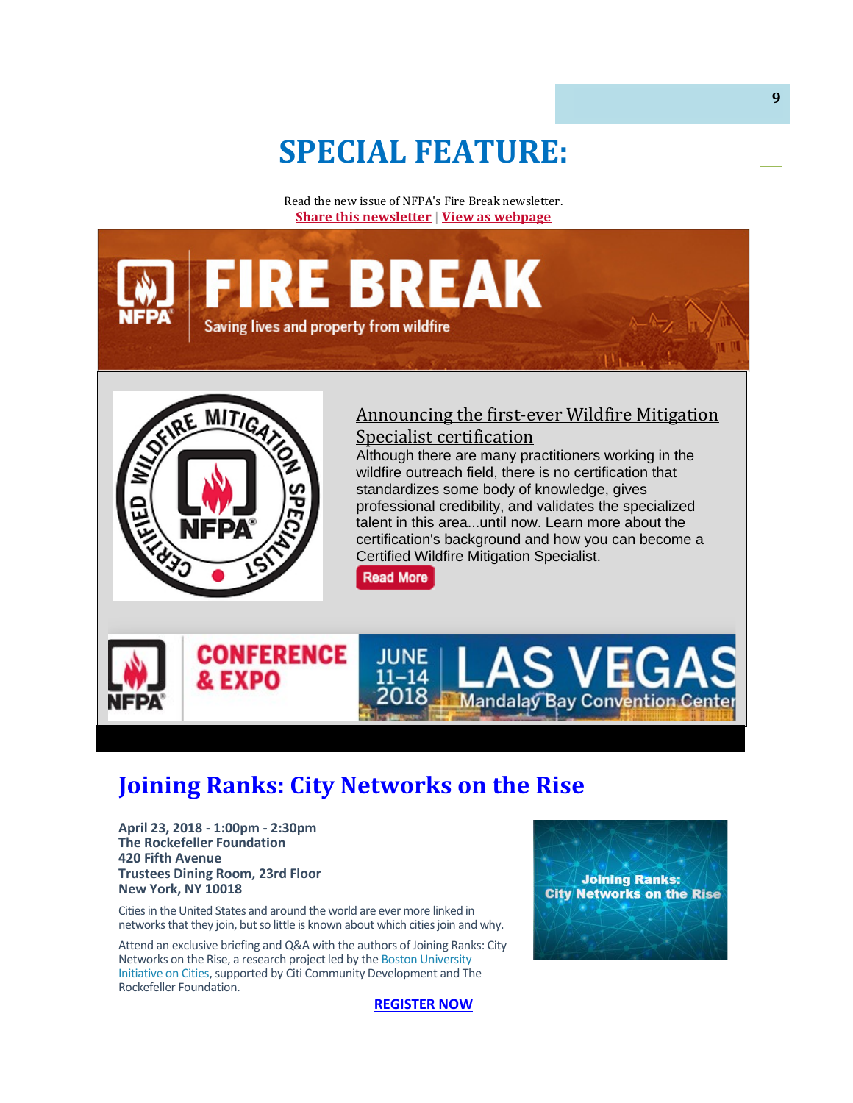# **SPECIAL FEATURE:**

Read the new issue of NFPA's Fire Break newsletter. **[Share this newsletter](https://na01.safelinks.protection.outlook.com/?url=http%3A%2F%2Fe.nfpa.org%2Fa%2FhBaqsdoB8VFIlB9l8HHNswWDoRY%2Fforward%3FRAF_TRACK%3D%26email%3Dthughes%40pa.gov&data=02%7C01%7Cthughes%40pa.gov%7Cc967e4298ea8484391ee08d58aa9e824%7C418e284101284dd59b6c47fc5a9a1bde%7C1%7C0%7C636567384717902970&sdata=EPIRge7g1ZItyCR9oEAXU0wZLrfGD6NuYwxy8cnXHTQ%3D&reserved=0) [| View as webpage](https://na01.safelinks.protection.outlook.com/?url=http%3A%2F%2Fe.nfpa.org%2Fa%2FhBaqsdoB8VFIlB9l8HHNswWDoRY%2Fbrowser%3Ft_sparams%3DFWOUuBnDWLbQN0tDTtQfGFRz0gWgPXJlqhGGUqMN-zQXSc-LkBI5-97TVzgaHOP&data=02%7C01%7Cthughes%40pa.gov%7Cc967e4298ea8484391ee08d58aa9e824%7C418e284101284dd59b6c47fc5a9a1bde%7C1%7C0%7C636567384717902970&sdata=lCxqnOhFzFdRLTgSxsoOvDrFFiEKsODTX6HIMQK8xyE%3D&reserved=0)**



wildfire outreach field, there is no certification that standardizes some body of knowledge, gives professional credibility, and validates the specialized talent in this area...until now. Learn more about the certification's background and how you can become a Certified Wildfire Mitigation Specialist.**Read More** 



**CONFERENCE** JUNE  $11 - 14$ & EXPO

### **[Joining Ranks: City Networks on the Rise](https://www.nfpa.org/Training-and-Events/By-type/Conferences/Conference?order_src=C365)**

**April 23, 2018 - 1:00pm - 2:30pm The Rockefeller Foundation 420 Fifth Avenue Trustees Dining Room, 23rd Floor New York, NY 10018**

Cities in the United States and around the world are ever more linked in networks that they join, but so little is known about which cities join and why.

Attend an exclusive briefing and Q&A with the authors of Joining Ranks: City Networks on the Rise, a research project led by the [Boston University](https://nam03.safelinks.protection.outlook.com/?url=http%3A%2F%2Fr20.rs6.net%2Ftn.jsp%3Ff%3D001CksUPFhJ4MMjM25nHuKT9tLPvC6VuhS6BRgmGKvb4yZy3y57NEPXiOSQ7Z3bAnnrAEy1gkZu7L5eEIElZcNTiOle2w1-SY_IAfn_IOQiEYy8u1NdNK7wWCm1nDiCKI15dyFGe9dJhI4%3D%26c%3DvN4AmHjAHE_BB42mP7XoEq_uuPwxyA3QiaLXeqOUBmE_sT-1-4OCLA%3D%3D%26ch%3Dtpr6XNOAuouuiYU7fsTGerLiM8DoufDS9bMxNAOpmWxyzD8vCbVj2Q%3D%3D&data=02%7C01%7C%7C8938dd5ec00c42e105a408d598b226eb%7C84df9e7fe9f640afb435aaaaaaaaaaaa%7C1%7C0%7C636582813276996910&sdata=v0Cyj6XmYP%2BhSGZZODB2k3fUiiaLHNo7GsXG9an2npQ%3D&reserved=0)  [Initiative on Cities,](https://nam03.safelinks.protection.outlook.com/?url=http%3A%2F%2Fr20.rs6.net%2Ftn.jsp%3Ff%3D001CksUPFhJ4MMjM25nHuKT9tLPvC6VuhS6BRgmGKvb4yZy3y57NEPXiOSQ7Z3bAnnrAEy1gkZu7L5eEIElZcNTiOle2w1-SY_IAfn_IOQiEYy8u1NdNK7wWCm1nDiCKI15dyFGe9dJhI4%3D%26c%3DvN4AmHjAHE_BB42mP7XoEq_uuPwxyA3QiaLXeqOUBmE_sT-1-4OCLA%3D%3D%26ch%3Dtpr6XNOAuouuiYU7fsTGerLiM8DoufDS9bMxNAOpmWxyzD8vCbVj2Q%3D%3D&data=02%7C01%7C%7C8938dd5ec00c42e105a408d598b226eb%7C84df9e7fe9f640afb435aaaaaaaaaaaa%7C1%7C0%7C636582813276996910&sdata=v0Cyj6XmYP%2BhSGZZODB2k3fUiiaLHNo7GsXG9an2npQ%3D&reserved=0) supported by Citi Community Development and The Rockefeller Foundation.

**Joining Ranks: City Networks on the Rise** 

Mandalay Bay Convention Cente

**[REGISTER NOW](https://nam03.safelinks.protection.outlook.com/?url=http%3A%2F%2Fr20.rs6.net%2Ftn.jsp%3Ff%3D001CksUPFhJ4MMjM25nHuKT9tLPvC6VuhS6BRgmGKvb4yZy3y57NEPXiPeoOk5lplhqreXS6LlJcrIurhUSGwg6nik2ADEHVfKuHw3xAmCVtdO4lbEwXh7kvqzmjBtEgyDE6TEcLh3VWCryTPH5IKlkcODMLME8RQorxKUp5LnBgSqkAIE-vHTTXzA-UpCePyNwngQZWndc2HB4CAFC1h1dsnxlyQGgS-oKk-Oo_la5HMLCS0T0KaAaxw%3D%3D%26c%3DvN4AmHjAHE_BB42mP7XoEq_uuPwxyA3QiaLXeqOUBmE_sT-1-4OCLA%3D%3D%26ch%3Dtpr6XNOAuouuiYU7fsTGerLiM8DoufDS9bMxNAOpmWxyzD8vCbVj2Q%3D%3D&data=02%7C01%7C%7C8938dd5ec00c42e105a408d598b226eb%7C84df9e7fe9f640afb435aaaaaaaaaaaa%7C1%7C0%7C636582813276996910&sdata=D%2B1LmRudRjnFOXLfzJEbnnoD%2B4aPDJ4n6gWbXxDpMDg%3D&reserved=0)**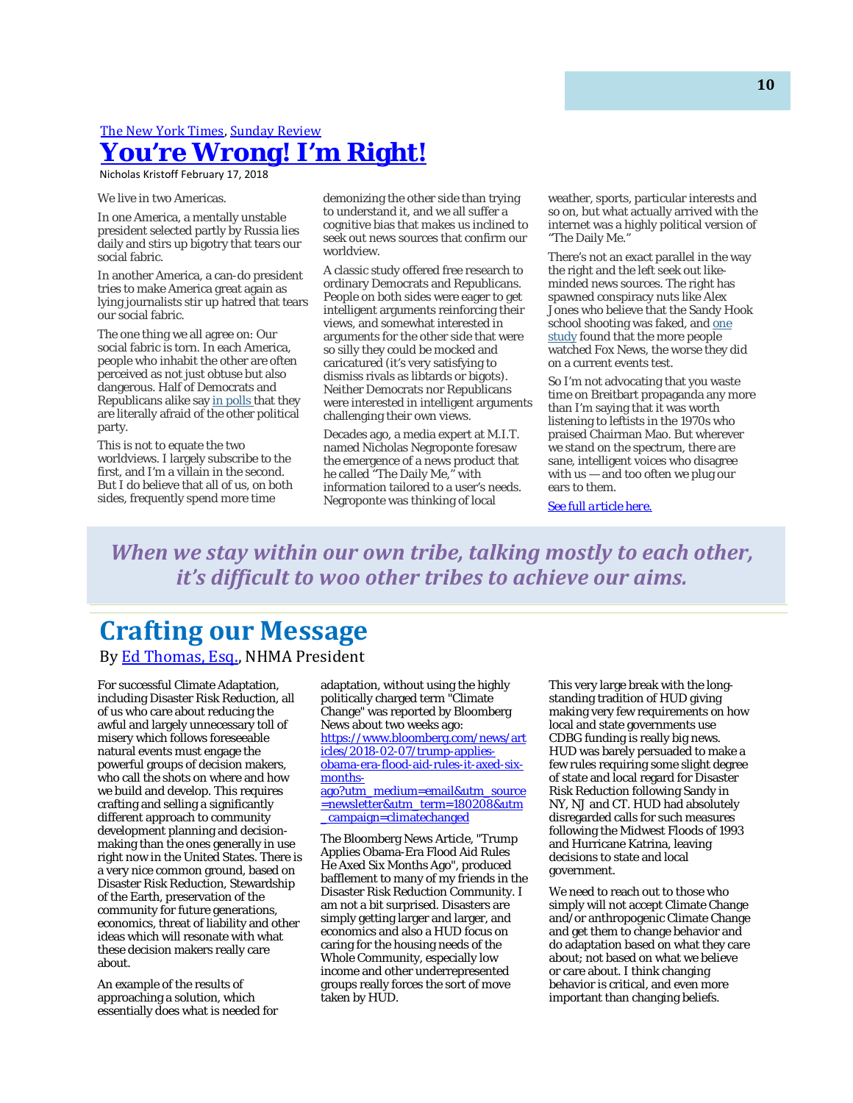#### [The New York Times,](https://www.nytimes.com/?action=click&contentCollection=Opinion®ion=TopBar&module=HomePage-Title&pgtype=article) [Sunday Review](https://www.nytimes.com/section/opinion/sunday) **[You're Wrong! I'm Right!](https://www.nytimes.com/2018/02/17/opinion/sunday/liberal-conservative-divide.html?rref=collection%2Fcolumn%2Fnicholas-kristof&action=click&contentCollection=opinion®ion=stream&module=stream_unit&version=latest&contentPlacement=2&pgtype=collection)**

[Nicholas Kristoff](https://www.nytimes.com/column/nicholas-kristof?action=click&contentCollection=Opinion&module=ExtendedByline®ion=Header&pgtype=article) February 17, 2018

#### We live in two Americas.

In one America, a mentally unstable president selected partly by Russia lies daily and stirs up bigotry that tears our social fabric.

In another America, a can-do president tries to make America great again as lying journalists stir up hatred that tears our social fabric.

The one thing we all agree on: Our social fabric is torn. In each America, people who inhabit the other are often perceived as not just obtuse but also dangerous. Half of Democrats and Republicans alike sa[y in polls t](http://www.people-press.org/2016/06/22/partisanship-and-political-animosity-in-2016/)hat they are literally afraid of the other political party.

This is not to equate the two worldviews. I largely subscribe to the first, and I'm a villain in the second. But I do believe that all of us, on both sides, frequently spend more time

demonizing the other side than trying to understand it, and we all suffer a cognitive bias that makes us inclined to seek out news sources that confirm our worldview.

A classic study offered free research to ordinary Democrats and Republicans. People on both sides were eager to get intelligent arguments reinforcing their views, and somewhat interested in arguments for the other side that were so silly they could be mocked and caricatured (it's very satisfying to dismiss rivals as libtards or bigots). Neither Democrats nor Republicans were interested in intelligent arguments challenging their own views.

Decades ago, a media expert at M.I.T. named Nicholas Negroponte foresaw the emergence of a news product that he called "The Daily Me," with information tailored to a user's needs. Negroponte was thinking of local

weather, sports, particular interests and so on, but what actually arrived with the internet was a highly political version of "The Daily Me."

There's not an exact parallel in the way the right and the left seek out likeminded news sources. The right has spawned conspiracy nuts like Alex Jones who believe that the Sandy Hook school shooting was faked, and one [study](http://publicmind.fdu.edu/2012/confirmed/) found that the more people watched Fox News, the worse they did on a current events test.

So I'm not advocating that you waste time on Breitbart propaganda any more than I'm saying that it was worth listening to leftists in the 1970s who praised Chairman Mao. But wherever we stand on the spectrum, there are sane, intelligent voices who disagree with us — and too often we plug our ears to them.

*[See full article here.](https://www.nytimes.com/2018/02/17/opinion/sunday/liberal-conservative-divide.html?rref=collection%2Fcolumn%2Fnicholas-kristof&action=click&contentCollection=opinion®ion=stream&module=stream_unit&version=latest&contentPlacement=2&pgtype=collection)*

*When we stay within our own tribe, talking mostly to each other, it's difficult to woo other tribes to achieve our aims.*

### <span id="page-9-0"></span>**Crafting our Message**

By [Ed Thomas, Esq.,](http://nhma.info/about/board-of-directors/thomas/) NHMA President

For successful Climate Adaptation, including Disaster Risk Reduction, all of us who care about reducing the awful and largely unnecessary toll of misery which follows foreseeable natural events must engage the powerful groups of decision makers, who call the shots on where and how we build and develop. This requires crafting and selling a significantly different approach to community development planning and decisionmaking than the ones generally in use right now in the United States. There is a very nice common ground, based on Disaster Risk Reduction, Stewardship of the Earth, preservation of the community for future generations, economics, threat of liability and other ideas which will resonate with what these decision makers really care about.

An example of the results of approaching a solution, which essentially does what is needed for

adaptation, without using the highly politically charged term "Climate Change" was reported by Bloomberg News about two weeks ago: [https://www.bloomberg.com/news/art](https://www.bloomberg.com/news/articles/2018-02-07/trump-applies-obama-era-flood-aid-rules-it-axed-six-months-ago?utm_medium=email&utm_source=newsletter&utm_term=180208&utm_campaign=climatechanged) [icles/2018-02-07/trump-applies](https://www.bloomberg.com/news/articles/2018-02-07/trump-applies-obama-era-flood-aid-rules-it-axed-six-months-ago?utm_medium=email&utm_source=newsletter&utm_term=180208&utm_campaign=climatechanged)[obama-era-flood-aid-rules-it-axed-six](https://www.bloomberg.com/news/articles/2018-02-07/trump-applies-obama-era-flood-aid-rules-it-axed-six-months-ago?utm_medium=email&utm_source=newsletter&utm_term=180208&utm_campaign=climatechanged)[months](https://www.bloomberg.com/news/articles/2018-02-07/trump-applies-obama-era-flood-aid-rules-it-axed-six-months-ago?utm_medium=email&utm_source=newsletter&utm_term=180208&utm_campaign=climatechanged)[ago?utm\\_medium=email&utm\\_source](https://www.bloomberg.com/news/articles/2018-02-07/trump-applies-obama-era-flood-aid-rules-it-axed-six-months-ago?utm_medium=email&utm_source=newsletter&utm_term=180208&utm_campaign=climatechanged) [=newsletter&utm\\_term=180208&utm](https://www.bloomberg.com/news/articles/2018-02-07/trump-applies-obama-era-flood-aid-rules-it-axed-six-months-ago?utm_medium=email&utm_source=newsletter&utm_term=180208&utm_campaign=climatechanged)

[\\_campaign=climatechanged](https://www.bloomberg.com/news/articles/2018-02-07/trump-applies-obama-era-flood-aid-rules-it-axed-six-months-ago?utm_medium=email&utm_source=newsletter&utm_term=180208&utm_campaign=climatechanged) The Bloomberg News Article, "Trump Applies Obama-Era Flood Aid Rules He Axed Six Months Ago", produced bafflement to many of my friends in the Disaster Risk Reduction Community. I am not a bit surprised. Disasters are simply getting larger and larger, and economics and also a HUD focus on caring for the housing needs of the Whole Community, especially low income and other underrepresented groups really forces the sort of move taken by HUD.

This very large break with the longstanding tradition of HUD giving making very few requirements on how local and state governments use CDBG funding is really big news. HUD was barely persuaded to make a few rules requiring some slight degree of state and local regard for Disaster Risk Reduction following Sandy in NY, NJ and CT. HUD had absolutely disregarded calls for such measures following the Midwest Floods of 1993 and Hurricane Katrina, leaving decisions to state and local government.

We need to reach out to those who simply will not accept Climate Change and/or anthropogenic Climate Change and get them to change behavior and do adaptation based on what they care about; not based on what we believe or care about. I think changing behavior is critical, and even more important than changing beliefs.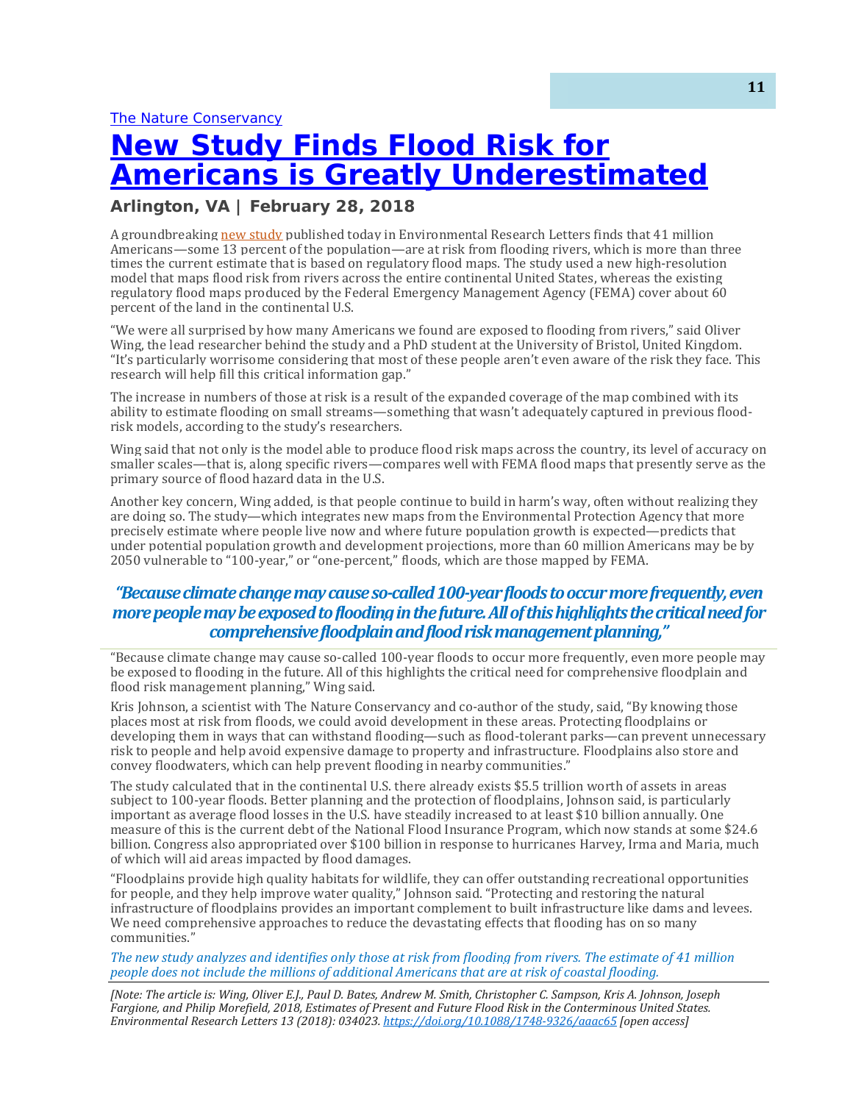[The Nature Conservancy](https://www.nature.org/?intc=nature.tnav.logo)

## <span id="page-10-0"></span>**[New Study Finds Flood Risk for](https://www.nature.org/newsfeatures/pressreleases/new-study-finds-flood-risk-for-americans-is-greatly-underestimated.xml)  [Americans is Greatly Underestimated](https://www.nature.org/newsfeatures/pressreleases/new-study-finds-flood-risk-for-americans-is-greatly-underestimated.xml)**

#### **Arlington, VA | February 28, 2018**

A groundbreaking [new study](https://eur02.safelinks.protection.outlook.com/?url=http%3A%2F%2Fiopscience.iop.org%2Farticle%2F10.1088%2F1748-9326%2Faaac65&data=02%7C01%7C%7C03b8b951325749af35b608d57ee9cb20%7C84df9e7fe9f640afb435aaaaaaaaaaaa%7C1%7C0%7C636554464955111739&sdata=Trj6vrvIIPBVSHssuGD1TuxL2Vem%2FHH51JfS%2FMmSq9s%3D&reserved=0) published today in Environmental Research Letters finds that 41 million Americans—some 13 percent of the population—are at risk from flooding rivers, which is more than three times the current estimate that is based on regulatory flood maps. The study used a new high-resolution model that maps flood risk from rivers across the entire continental United States, whereas the existing regulatory flood maps produced by the Federal Emergency Management Agency (FEMA) cover about 60 percent of the land in the continental U.S.

"We were all surprised by how many Americans we found are exposed to flooding from rivers," said Oliver Wing, the lead researcher behind the study and a PhD student at the University of Bristol, United Kingdom. "It's particularly worrisome considering that most of these people aren't even aware of the risk they face. This research will help fill this critical information gap."

The increase in numbers of those at risk is a result of the expanded coverage of the map combined with its ability to estimate flooding on small streams—something that wasn't adequately captured in previous floodrisk models, according to the study's researchers.

Wing said that not only is the model able to produce flood risk maps across the country, its level of accuracy on smaller scales—that is, along specific rivers—compares well with FEMA flood maps that presently serve as the primary source of flood hazard data in the U.S.

Another key concern, Wing added, is that people continue to build in harm's way, often without realizing they are doing so. The study—which integrates new maps from the Environmental Protection Agency that more precisely estimate where people live now and where future population growth is expected—predicts that under potential population growth and development projections, more than 60 million Americans may be by 2050 vulnerable to "100-year," or "one-percent," floods, which are those mapped by FEMA.

#### *"Because climate change may cause so-called 100-year floods to occur more frequently, even more people may be exposed to flooding in the future. All of this highlights the critical need for comprehensive floodplain and flood risk management planning,"*

"Because climate change may cause so-called 100-year floods to occur more frequently, even more people may be exposed to flooding in the future. All of this highlights the critical need for comprehensive floodplain and flood risk management planning," Wing said.

Kris Johnson, a scientist with The Nature Conservancy and co-author of the study, said, "By knowing those places most at risk from floods, we could avoid development in these areas. Protecting floodplains or developing them in ways that can withstand flooding—such as flood-tolerant parks—can prevent unnecessary risk to people and help avoid expensive damage to property and infrastructure. Floodplains also store and convey floodwaters, which can help prevent flooding in nearby communities."

The study calculated that in the continental U.S. there already exists \$5.5 trillion worth of assets in areas subject to 100-year floods. Better planning and the protection of floodplains, Johnson said, is particularly important as average flood losses in the U.S. have steadily increased to at least \$10 billion annually. One measure of this is the current debt of the National Flood Insurance Program, which now stands at some \$24.6 billion. Congress also appropriated over \$100 billion in response to hurricanes Harvey, Irma and Maria, much of which will aid areas impacted by flood damages.

"Floodplains provide high quality habitats for wildlife, they can offer outstanding recreational opportunities for people, and they help improve water quality," Johnson said. "Protecting and restoring the natural infrastructure of floodplains provides an important complement to built infrastructure like dams and levees. We need comprehensive approaches to reduce the devastating effects that flooding has on so many communities."

*The new study analyzes and identifies only those at risk from flooding from rivers. The estimate of 41 million people does not include the millions of additional Americans that are at risk of coastal flooding.*

*[Note: The article is: Wing, Oliver E.J., Paul D. Bates, Andrew M. Smith, Christopher C. Sampson, Kris A. Johnson, Joseph Fargione, and Philip Morefield, 2018, Estimates of Present and Future Flood Risk in the Conterminous United States. Environmental Research Letters 13 (2018): 034023[. https://doi.org/10.1088/1748-9326/aaac65](https://eur02.safelinks.protection.outlook.com/?url=https%3A%2F%2Fdoi.org%2F10.1088%2F1748-9326%2Faaac65&data=02%7C01%7C%7C03b8b951325749af35b608d57ee9cb20%7C84df9e7fe9f640afb435aaaaaaaaaaaa%7C1%7C0%7C636554464955111739&sdata=l1xLIz60L7j7eKJJdZf0fijlCvyKQli3%2BRztj4UIz7U%3D&reserved=0) [open access]*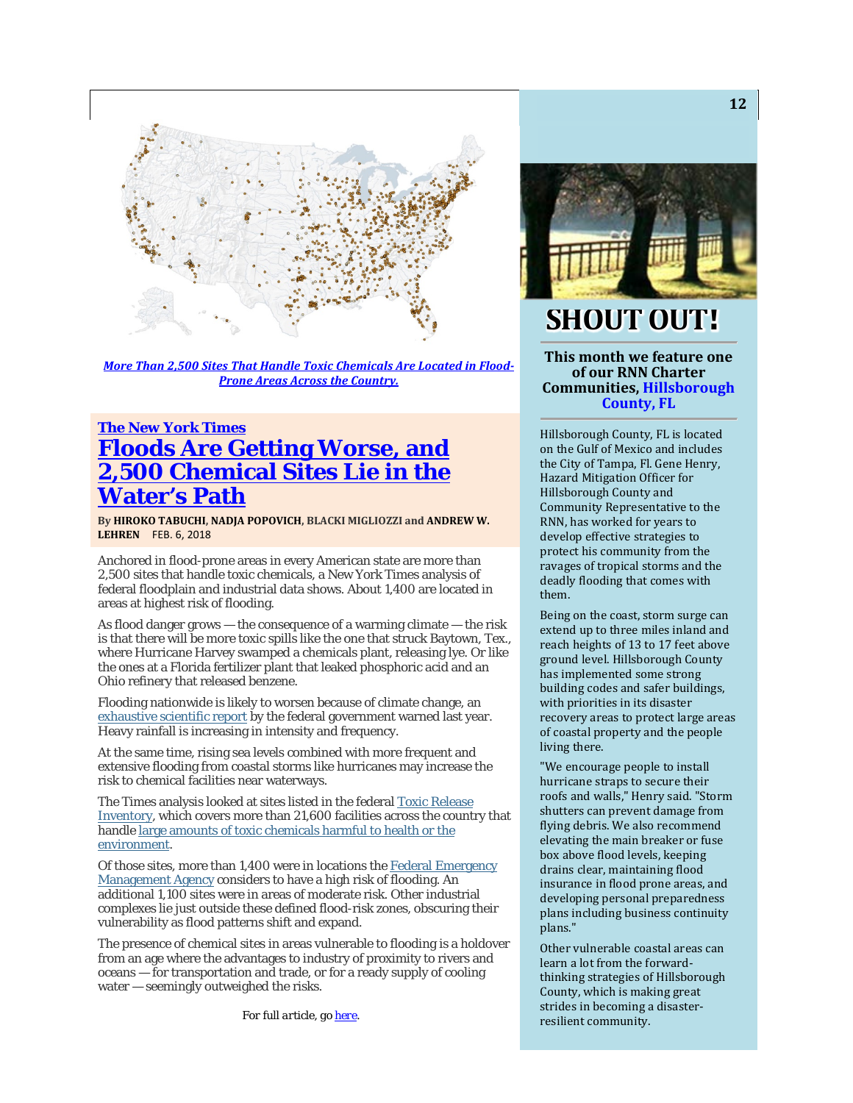

*[More Than 2,500 Sites That Handle Toxic Chemicals Are Located in Flood-](https://www.nytimes.com/interactive/2018/02/06/climate/flood-toxic-chemicals.html)[Prone Areas Across the Country.](https://www.nytimes.com/interactive/2018/02/06/climate/flood-toxic-chemicals.html)*

#### **[The New York Times](https://www.nytimes.com/) [Floods Are Getting Worse, and](https://www.nytimes.com/interactive/2018/02/06/climate/flood-toxic-chemicals.html)  2,500 [Chemical Sites Lie in the](https://www.nytimes.com/interactive/2018/02/06/climate/flood-toxic-chemicals.html)  [Water's Path](https://www.nytimes.com/interactive/2018/02/06/climate/flood-toxic-chemicals.html)**

<span id="page-11-0"></span>**B[y HIROKO TABUCHI,](http://www.nytimes.com/by/hiroko-tabuchi) [NADJA POPOVICH,](https://www.nytimes.com/by/nadja-popovich) BLACKI MIGLIOZZI an[d ANDREW W.](http://www.nytimes.com/by/andrew-w-lehren)  [LEHREN](http://www.nytimes.com/by/andrew-w-lehren)** FEB. 6, 2018

Anchored in flood-prone areas in every American state are more than 2,500 sites that handle toxic chemicals, a New York Times analysis of federal floodplain and industrial data shows. About 1,400 are located in areas at highest risk of flooding.

As flood danger grows — the consequence of a warming climate — the risk is that there will be more toxic spills like the one that struck Baytown, Tex., where Hurricane Harvey swamped a chemicals plant, releasing lye. Or like the ones at a Florida fertilizer plant that leaked phosphoric acid and an Ohio refinery that released benzene.

Flooding nationwide is likely to worsen because of climate change, an [exhaustive scientific report](https://science2017.globalchange.gov/) by the federal government warned last year. Heavy rainfall is increasing in intensity and frequency.

At the same time, rising sea levels combined with more frequent and extensive flooding from coastal storms like hurricanes may increase the risk to chemical facilities near waterways.

The Times analysis looked at sites listed in the federa[l Toxic Release](https://www.epa.gov/toxics-release-inventory-tri-program/learn-about-toxics-release-inventory)  [Inventory,](https://www.epa.gov/toxics-release-inventory-tri-program/learn-about-toxics-release-inventory) which covers more than 21,600 facilities across the country that handl[e large amounts of toxic chemicals harmful to health or the](https://www.epa.gov/sites/production/files/2018-01/documents/2016_tri_national_analysis_execsumm.pdf)  [environment.](https://www.epa.gov/sites/production/files/2018-01/documents/2016_tri_national_analysis_execsumm.pdf)

Of those sites, more than 1,400 were in locations the [Federal Emergency](https://www.nytimes.com/topic/organization/federal-emergency-management-agency)  [Management Agency](https://www.nytimes.com/topic/organization/federal-emergency-management-agency) considers to have a high risk of flooding. An additional 1,100 sites were in areas of moderate risk. Other industrial complexes lie just outside these defined flood-risk zones, obscuring their vulnerability as flood patterns shift and expand.

The presence of chemical sites in areas vulnerable to flooding is a holdover from an age where the advantages to industry of proximity to rivers and oceans — for transportation and trade, or for a ready supply of cooling water — seemingly outweighed the risks.

*For full article, g[o here.](https://www.nytimes.com/interactive/2018/02/06/climate/flood-toxic-chemicals.html)*



# <span id="page-11-1"></span>**SHOUT OUT!**

**This month we feature one of our RNN Charter Communities, Hillsborough County, FL**

Hillsborough County, FL is located on the Gulf of Mexico and includes the City of Tampa, Fl. Gene Henry, Hazard Mitigation Officer for Hillsborough County and Community Representative to the RNN, has worked for years to develop effective strategies to protect his community from the ravages of tropical storms and the deadly flooding that comes with them.

Being on the coast, storm surge can extend up to three miles inland and reach heights of 13 to 17 feet above ground level. Hillsborough County has implemented some strong building codes and safer buildings, with priorities in its disaster recovery areas to protect large areas of coastal property and the people living there.

"We encourage people to install hurricane straps to secure their roofs and walls," Henry said. "Storm shutters can prevent damage from flying debris. We also recommend elevating the main breaker or fuse box above flood levels, keeping drains clear, maintaining flood insurance in flood prone areas, and developing personal preparedness plans including business continuity plans."

Other vulnerable coastal areas can learn a lot from the forwardthinking strategies of Hillsborough County, which is making great strides in becoming a disasterresilient community.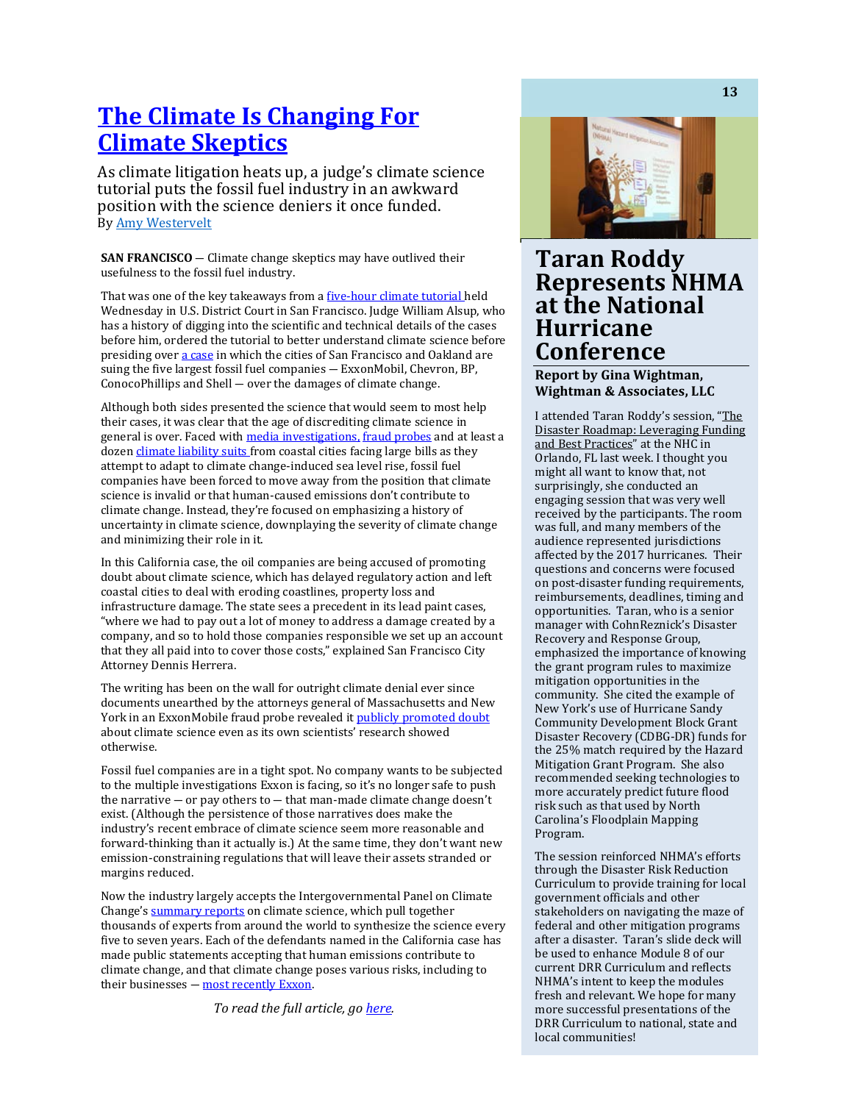### <span id="page-12-0"></span>**[The Climate Is Changing For](https://www.huffingtonpost.com/entry/climate-change-trial-california_us_5ab53d0ce4b054d118e2a0d9)  [Climate Skeptics](https://www.huffingtonpost.com/entry/climate-change-trial-california_us_5ab53d0ce4b054d118e2a0d9)**

As climate litigation heats up, a judge's climate science tutorial puts the fossil fuel industry in an awkward position with the science deniers it once funded. B[y Amy Westervelt](https://eur03.safelinks.protection.outlook.com/?url=https%3A%2F%2Fwww.huffingtonpost.com%2Fauthor%2Famy-westervelt&data=02%7C01%7C%7C55634bcb643d44fda6fe08d5933f23a2%7C84df9e7fe9f640afb435aaaaaaaaaaaa%7C1%7C0%7C636576821742928919&sdata=2rSeLw9cBhMs8EW1s2FIro4DpAsveT2usWWRgSLOQfY%3D&reserved=0)

**SAN FRANCISCO** — Climate change skeptics may have outlived their usefulness to the fossil fuel industry.

That was one of the key takeaways from a [five-hour climate tutorial h](https://eur03.safelinks.protection.outlook.com/?url=https%3A%2F%2Fsecure-web.cisco.com%2F1jR7Pp47dlDxnAml5tb1dJdbN5xP0oYiP7g_akybJyxBlo1k1cCpafFZrMBJCDTHqEolJUNq9YraL0TJu5rUzoognd2lsVIkb0_G0Lpo9UalBIIryLI_IEE6qFaH4HgmuqydzXhf7Q8UhMYdniltGA4sMOg1GQ25WCiaQ6Jn3BnP5KN_uEOaXcYS3sO9u5XUXZbuyihdNDzgfQFLyC8Npv2F4mGeZ5842nkmkbeB_720HAtE0o5eHTbEy_bRP2ofU4ZEjuTLEmREJAkOnvkgwFoww_t_220MJGUGPJraYC5J5hvW6Te95CPE_oVYVgADL2OdeBylF57YkKMvd677UuQSXs-rC798POAE4_Tm5nmg1o4nXK9CQtHnvjofMr89GXcn1v1e2iVlRFclwPPARLDA58Gl8KUznwdN3mP7OdGHEcNsA9K0X4tKeXfSxtGBMOe8d-5SUgiVexOlPQiASSQ%2Fhttps%253A%252F%252Fwww.climateliabilitynews.org%252F2018%252F03%252F22%252Fclimate-tutorial-judge-alsup-chevron-liability%252F&data=02%7C01%7C%7C55634bcb643d44fda6fe08d5933f23a2%7C84df9e7fe9f640afb435aaaaaaaaaaaa%7C1%7C0%7C636576821742928919&sdata=YHGofUI8JPB2FElLllmbkenSbKnjPTelmznbkoGiccY%3D&reserved=0)eld Wednesday in U.S. District Court in San Francisco. Judge William Alsup, who has a history of digging into the scientific and technical details of the cases before him, ordered the tutorial to better understand climate science before presiding ove[r a case](https://eur03.safelinks.protection.outlook.com/?url=https%3A%2F%2Fdockets.justia.com%2Fdocket%2Fcalifornia%2Fcandce%2F3%3A2017cv06011%2F318403&data=02%7C01%7C%7C55634bcb643d44fda6fe08d5933f23a2%7C84df9e7fe9f640afb435aaaaaaaaaaaa%7C1%7C0%7C636576821742928919&sdata=3nX0bjWfW5WvFdA0Yo0Lt7Ct9TwGaPQmGxWxwtIUvJ8%3D&reserved=0) in which the cities of San Francisco and Oakland are suing the five largest fossil fuel companies ― ExxonMobil, Chevron, BP, ConocoPhillips and Shell ― over the damages of climate change.

Although both sides presented the science that would seem to most help their cases, it was clear that the age of discrediting climate science in general is over. Faced with [media investigations,](https://eur03.safelinks.protection.outlook.com/?url=https%3A%2F%2Fwww.nytimes.com%2F2015%2F11%2F06%2Fscience%2Fexxon-mobil-under-investigation-in-new-york-over-climate-statements.html&data=02%7C01%7C%7C55634bcb643d44fda6fe08d5933f23a2%7C84df9e7fe9f640afb435aaaaaaaaaaaa%7C1%7C0%7C636576821742928919&sdata=g4%2Ftbg9gEYM6ZvCSrDjp41snuJH4gowdP2m0ybQZwb8%3D&reserved=0) [fraud probes](https://eur03.safelinks.protection.outlook.com/?url=https%3A%2F%2Finsideclimatenews.org%2Fnews%2F16062016%2Fexxon-sues-massachusetts-attorney-general-climate-change-fraud-investigation&data=02%7C01%7C%7C55634bcb643d44fda6fe08d5933f23a2%7C84df9e7fe9f640afb435aaaaaaaaaaaa%7C1%7C0%7C636576821742928919&sdata=fBX2%2Bj52vULrSowtiK%2BniZWQQw1wl920Wluj%2FWK%2BPJE%3D&reserved=0) and at least a doze[n climate liability suits f](https://eur03.safelinks.protection.outlook.com/?url=https%3A%2F%2Fsecure-web.cisco.com%2F1nhPcKORuBTqCgfYUSrUTi-p_mqXZUbJafVPAFvyEWSnNTvJNxZLor_OlJlv79ddT7Zg7ggAad32TBhU77JiM9Yt1TSOd8z0AKE03VyAzXS2ac5dplnsiqoe2awlB4VGCT3qSy3ywtc6SBc06Jt8VWchdJz2AiKSFhecD5KipCNRGIUP-1JWVHftXC9oI8w_KVj9Jx8gpkgWfHMdtSYvoYA5Kj1G5PilO3u0YuDylVvukp5XldF6Cb84gYrsfwPIYOcLR8j0C9c7wWsB1xDcuutUon9nWqxFIc0G_WX-rmnRpNef5WonY7FWmly6I6nt1ZFIHQOawzqiLKWB7vPH_1_HbIbRZik3aQWujJQ8wDMXDiS9n7hldaGeJsSDrZgjTi0LQNed7RLmo_eJ2AuklqDLD53_Q2C3X2oJDcoLZUtNfzTWmSXHUQDO_dHM8F-WsFX_1v8hA6WgV0s-6K0Mmng%2Fhttps%253A%252F%252Fwww.climateliabilitynews.org%252F2018%252F01%252F03%252Fclimate-liability-lawsuits-juliana-us%252F&data=02%7C01%7C%7C55634bcb643d44fda6fe08d5933f23a2%7C84df9e7fe9f640afb435aaaaaaaaaaaa%7C1%7C0%7C636576821742928919&sdata=hHNYa4obqzZLDnXXQV1h3%2BK%2BB6%2BfHwIHKru%2FIy90glU%3D&reserved=0)rom coastal cities facing large bills as they attempt to adapt to climate change-induced sea level rise, fossil fuel companies have been forced to move away from the position that climate science is invalid or that human-caused emissions don't contribute to climate change. Instead, they're focused on emphasizing a history of uncertainty in climate science, downplaying the severity of climate change and minimizing their role in it.

In this California case, the oil companies are being accused of promoting doubt about climate science, which has delayed regulatory action and left coastal cities to deal with eroding coastlines, property loss and infrastructure damage. The state sees a precedent in its lead paint cases, "where we had to pay out a lot of money to address a damage created by a company, and so to hold those companies responsible we set up an account that they all paid into to cover those costs," explained San Francisco City Attorney Dennis Herrera.

The writing has been on the wall for outright climate denial ever since documents unearthed by the attorneys general of Massachusetts and New York in an ExxonMobile fraud probe revealed it [publicly promoted doubt](https://eur03.safelinks.protection.outlook.com/?url=http%3A%2F%2Fiopscience.iop.org%2Farticle%2F10.1088%2F1748-9326%2Faa815f&data=02%7C01%7C%7C55634bcb643d44fda6fe08d5933f23a2%7C84df9e7fe9f640afb435aaaaaaaaaaaa%7C1%7C0%7C636576821742928919&sdata=BwtQUe%2B1yXmNmFkUCm2s1m9nd11JdOMjoyzpLGP7CJk%3D&reserved=0) about climate science even as its own scientists' research showed otherwise.

Fossil fuel companies are in a tight spot. No company wants to be subjected to the multiple investigations Exxon is facing, so it's no longer safe to push the narrative ― or pay others to ― that man-made climate change doesn't exist. (Although the persistence of those narratives does make the industry's recent embrace of climate science seem more reasonable and forward-thinking than it actually is.) At the same time, they don't want new emission-constraining regulations that will leave their assets stranded or margins reduced.

Now the industry largely accepts the Intergovernmental Panel on Climate Change'[s summary reports](https://eur03.safelinks.protection.outlook.com/?url=https%3A%2F%2Fwww.ucsusa.org%2Fglobal-warming%2Fscience-and-impacts%2Fscience%2Fipcc-backgrounder.html%23.WrRwccgh1AY&data=02%7C01%7C%7C55634bcb643d44fda6fe08d5933f23a2%7C84df9e7fe9f640afb435aaaaaaaaaaaa%7C1%7C0%7C636576821742928919&sdata=RkTZTzpV3Ip7fTAe%2B2tozxzcrj8emKbjMs6BmtZ7ixs%3D&reserved=0) on climate science, which pull together thousands of experts from around the world to synthesize the science every five to seven years. Each of the defendants named in the California case has made public statements accepting that human emissions contribute to climate change, and that climate change poses various risks, including to their businesses ― [most recently Exxon.](https://eur03.safelinks.protection.outlook.com/?url=https%3A%2F%2Finsideclimatenews.org%2Fnews%2F12122017%2Fexxon-climate-risk-disclosure-sec-shareholder-investigation-pressure&data=02%7C01%7C%7C55634bcb643d44fda6fe08d5933f23a2%7C84df9e7fe9f640afb435aaaaaaaaaaaa%7C1%7C0%7C636576821742928919&sdata=4zzTmRLNh7GTQ76cHJdxR45acNBqVg%2F6sespyI2omNw%3D&reserved=0)

*To read the full article, go [here.](https://www.huffingtonpost.com/entry/climate-change-trial-california_us_5ab53d0ce4b054d118e2a0d9)*



### **Taran Roddy Represents NHMA at the National Hurricane Conference**

**Report by Gina Wightman, Wightman & Associates, LLC**

I attended Taran Roddy's session, "The Disaster Roadmap: Leveraging Funding and Best Practices" at the NHC in Orlando, FL last week. I thought you might all want to know that, not surprisingly, she conducted an engaging session that was very well received by the participants. The room was full, and many members of the audience represented jurisdictions affected by the 2017 hurricanes. Their questions and concerns were focused on post-disaster funding requirements, reimbursements, deadlines, timing and opportunities. Taran, who is a senior manager with CohnReznick's Disaster Recovery and Response Group, emphasized the importance of knowing the grant program rules to maximize mitigation opportunities in the community. She cited the example of New York's use of Hurricane Sandy Community Development Block Grant Disaster Recovery (CDBG-DR) funds for the 25% match required by the Hazard Mitigation Grant Program. She also recommended seeking technologies to more accurately predict future flood risk such as that used by North Carolina's Floodplain Mapping Program.

The session reinforced NHMA's efforts through the Disaster Risk Reduction Curriculum to provide training for local government officials and other stakeholders on navigating the maze of federal and other mitigation programs after a disaster. Taran's slide deck will be used to enhance Module 8 of our current DRR Curriculum and reflects NHMA's intent to keep the modules fresh and relevant. We hope for many more successful presentations of the DRR Curriculum to national, state and local communities!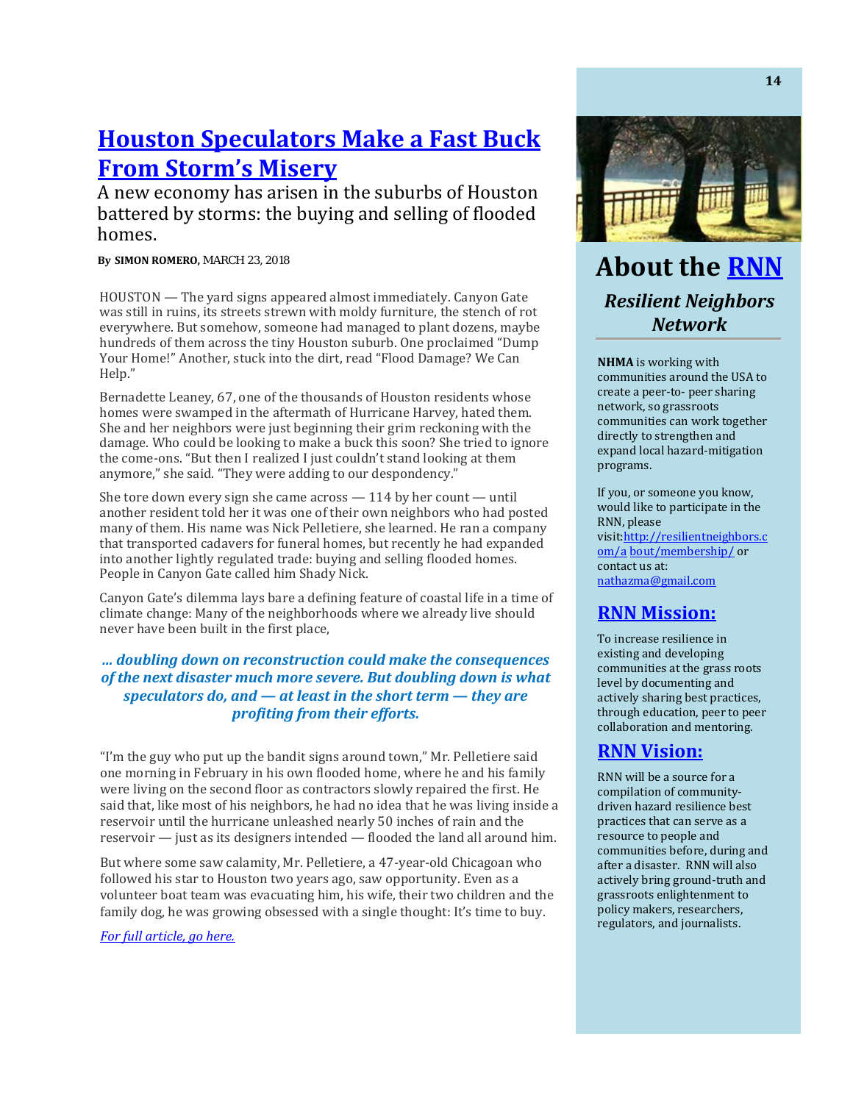### <span id="page-13-0"></span>**[Houston Speculators Make a Fast Buck](https://www.nytimes.com/2018/03/23/us/flooding-canyon-gate-hurricane-harvey.html)  [From Storm's Misery](https://www.nytimes.com/2018/03/23/us/flooding-canyon-gate-hurricane-harvey.html)**

A new economy has arisen in the suburbs of Houston battered by storms: the buying and selling of flooded homes.

#### **By [SIMON ROMERO,](https://www.nytimes.com/by/simon-romero)** MARCH 23, 2018

HOUSTON — The yard signs appeared almost immediately. Canyon Gate was still in ruins, its streets strewn with moldy furniture, the stench of rot everywhere. But somehow, someone had managed to plant dozens, maybe hundreds of them across the tiny Houston suburb. One proclaimed "Dump Your Home!" Another, stuck into the dirt, read "Flood Damage? We Can Help."

Bernadette Leaney, 67, one of the thousands of Houston residents whose homes were swamped in the aftermath of Hurricane Harvey, hated them. She and her neighbors were just beginning their grim reckoning with the damage. Who could be looking to make a buck this soon? She tried to ignore the come-ons. "But then I realized I just couldn't stand looking at them anymore," she said. "They were adding to our despondency."

She tore down every sign she came across — 114 by her count — until another resident told her it was one of their own neighbors who had posted many of them. His name was Nick Pelletiere, she learned. He ran a company that transported cadavers for funeral homes, but recently he had expanded into another lightly regulated trade: buying and selling flooded homes. People in Canyon Gate called him Shady Nick.

Canyon Gate's dilemma lays bare a defining feature of coastal life in a time of climate change: Many of the neighborhoods where we already live should never have been built in the first place,

#### *… doubling down on reconstruction could make the consequences of the next disaster much more severe. But doubling down is what speculators do, and — at least in the short term — they are profiting from their efforts.*

"I'm the guy who put up the bandit signs around town," Mr. Pelletiere said one morning in February in his own flooded home, where he and his family were living on the second floor as contractors slowly repaired the first. He said that, like most of his neighbors, he had no idea that he was living inside a reservoir until the hurricane unleashed nearly 50 inches of rain and the reservoir — just as its designers intended — flooded the land all around him.

But where some saw calamity, Mr. Pelletiere, a 47-year-old Chicagoan who followed his star to Houston two years ago, saw opportunity. Even as a volunteer boat team was evacuating him, his wife, their two children and the family dog, he was growing obsessed with a single thought: It's time to buy.

*[For full article, go here.](https://www.nytimes.com/2018/03/23/us/flooding-canyon-gate-hurricane-harvey.html)*



<span id="page-13-1"></span>**About the [RNN](http://resilientneighbors.com/)** *Resilient Neighbors Network*

**NHMA** is working with communities around the USA to create a peer-to- peer sharing network, so grassroots communities can work together directly to strengthen and expand local hazard-mitigation programs.

If you, or someone you know, would like to participate in the RNN, please visit: http://resilientneighbors.c [om/a](http://resilientneighbors.com/about/membership/) [bout/membership/](http://resilientneighbors.com/about/membership/) or contact us at: [nathazma@gmail.com](mailto:nathazma@gmail.com)

#### **RNN [Mission:](http://resilientneighbors.com/about/rnn-missionvision-statement/)**

To increase resilience in existing and developing communities at the grass roots level by documenting and actively sharing best practices, through education, peer to peer collaboration and mentoring.

#### **RNN [Vision:](http://resilientneighbors.com/about/rnn-missionvision-statement/)**

RNN will be a source for a compilation of communitydriven hazard resilience best practices that can serve as a resource to people and communities before, during and after a disaster. RNN will also actively bring ground-truth and grassroots enlightenment to policy makers, researchers, regulators, and journalists.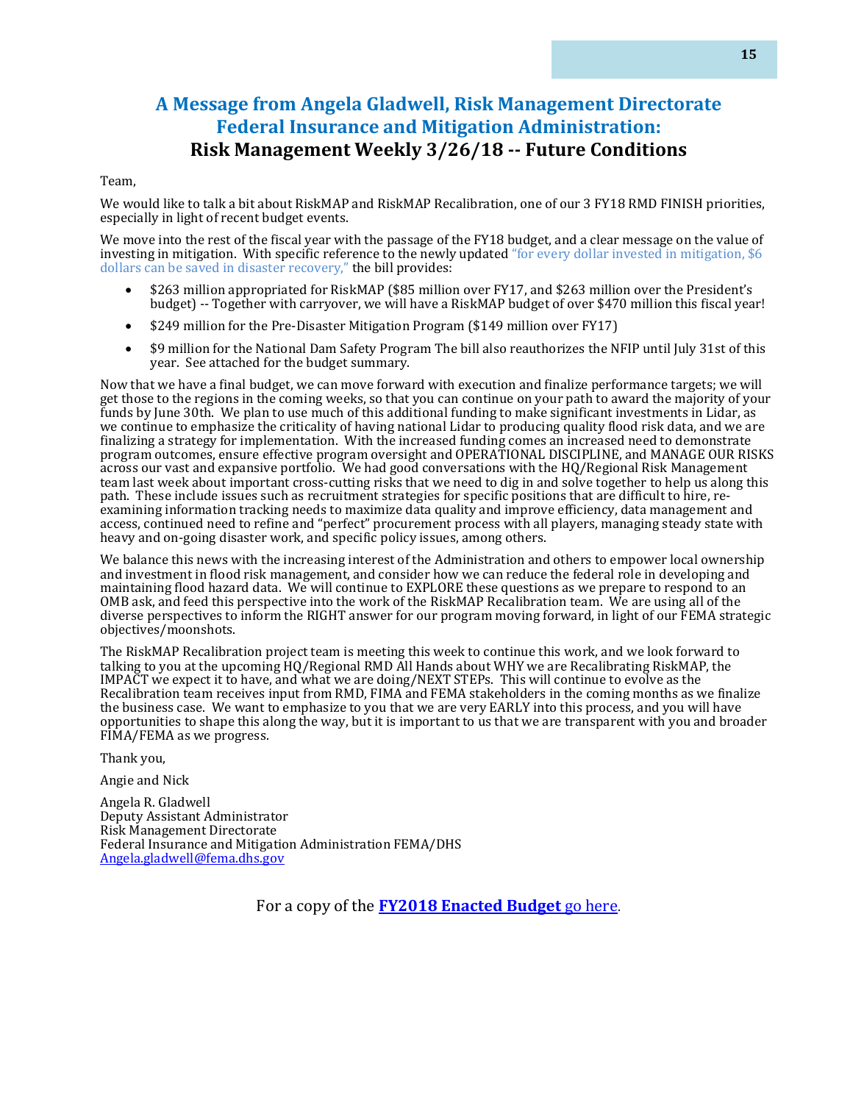#### **A Message from Angela Gladwell, Risk Management Directorate Federal Insurance and Mitigation Administration: Risk Management Weekly 3/26/18 -- Future Conditions**

#### <span id="page-14-0"></span>Team,

We would like to talk a bit about RiskMAP and RiskMAP Recalibration, one of our 3 FY18 RMD FINISH priorities, especially in light of recent budget events.

We move into the rest of the fiscal year with the passage of the FY18 budget, and a clear message on the value of investing in mitigation. With specific reference to the newly updated "for every dollar invested in mitigation, \$6 dollars can be saved in disaster recovery," the bill provides:

- \$263 million appropriated for RiskMAP (\$85 million over FY17, and \$263 million over the President's budget) -- Together with carryover, we will have a RiskMAP budget of over \$470 million this fiscal year!
- \$249 million for the Pre-Disaster Mitigation Program (\$149 million over FY17)
- \$9 million for the National Dam Safety Program The bill also reauthorizes the NFIP until July 31st of this year. See attached for the budget summary.

Now that we have a final budget, we can move forward with execution and finalize performance targets; we will get those to the regions in the coming weeks, so that you can continue on your path to award the majority of your funds by June 30th. We plan to use much of this additional funding to make significant investments in Lidar, as we continue to emphasize the criticality of having national Lidar to producing quality flood risk data, and we are finalizing a strategy for implementation. With the increased funding comes an increased need to demonstrate program outcomes, ensure effective program oversight and OPERATIONAL DISCIPLINE, and MANAGE OUR RISKS across our vast and expansive portfolio. We had good conversations with the HQ/Regional Risk Management team last week about important cross-cutting risks that we need to dig in and solve together to help us along this path. These include issues such as recruitment strategies for specific positions that are difficult to hire examining information tracking needs to maximize data quality and improve efficiency, data management and access, continued need to refine and "perfect" procurement process with all players, managing steady state with heavy and on-going disaster work, and specific policy issues, among others.

We balance this news with the increasing interest of the Administration and others to empower local ownership and investment in flood risk management, and consider how we can reduce the federal role in developing and maintaining flood hazard data. We will continue to EXPLORE these questions as we prepare to respond to an OMB ask, and feed this perspective into the work of the RiskMAP Recalibration team. We are using all of the diverse perspectives to inform the RIGHT answer for our program moving forward, in light of our FEMA strategic objectives/moonshots.

The RiskMAP Recalibration project team is meeting this week to continue this work, and we look forward to talking to you at the upcoming HQ/Regional RMD All Hands about WHY we are Recalibrating RiskMAP, the IMPACT we expect it to have, and what we are doing/NEXT STEPs. This will continue to evolve as the Recalibration team receives input from RMD, FIMA and FEMA stakeholders in the coming months as we finalize the business case. We want to emphasize to you that we are very EARLY into this process, and you will have opportunities to shape this along the way, but it is important to us that we are transparent with you and broader FIMA/FEMA as we progress.

Thank you,

Angie and Nick

Angela R. Gladwell Deputy Assistant Administrator Risk Management Directorate Federal Insurance and Mitigation Administration FEMA/DHS [Angela.gladwell@fema.dhs.gov](mailto:Angela.gladwell@fema.dhs.gov)

For a copy of the **[FY2018 Enacted Budget](http://nhma.info/wp-content/uploads/2018/03/FY18-Enacted-Budget-Summary.pdf)** go here.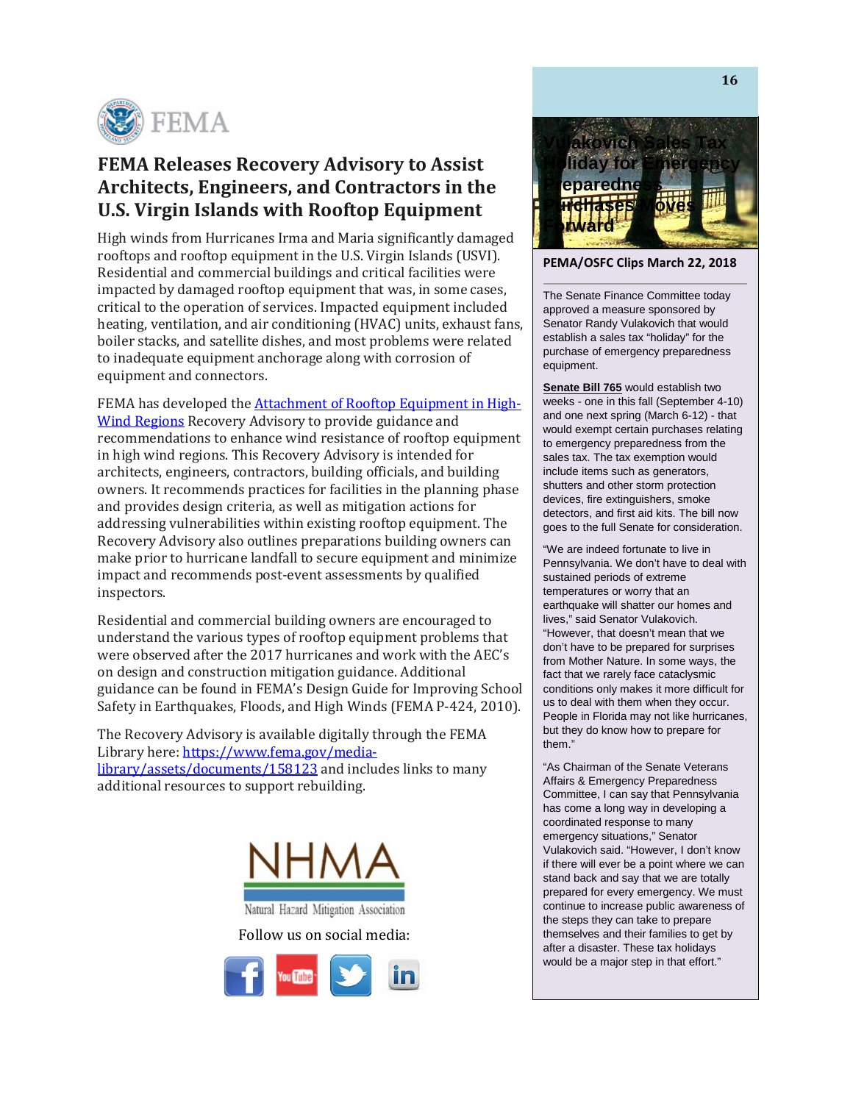

#### **FEMA Releases Recovery Advisory to Assist Architects, Engineers, and Contractors in the U.S. Virgin Islands with Rooftop Equipment**

High winds from Hurricanes Irma and Maria significantly damaged rooftops and rooftop equipment in the U.S. Virgin Islands (USVI). Residential and commercial buildings and critical facilities were impacted by damaged rooftop equipment that was, in some cases, critical to the operation of services. Impacted equipment included heating, ventilation, and air conditioning (HVAC) units, exhaust fans, boiler stacks, and satellite dishes, and most problems were related to inadequate equipment anchorage along with corrosion of equipment and connectors.

FEMA has developed th[e Attachment of Rooftop Equipment in High-](http://links.govdelivery.com/track?type=click&enid=ZWFzPTEmbWFpbGluZ2lkPTIwMTgwMzI5Ljg3NjkwMzQxJm1lc3NhZ2VpZD1NREItUFJELUJVTC0yMDE4MDMyOS44NzY5MDM0MSZkYXRhYmFzZWlkPTEwMDEmc2VyaWFsPTE3NTA0ODMzJmVtYWlsaWQ9amltLm11cnBoeUBhZWNvbS5jb20mdXNlcmlkPWppbS5tdXJwaHlAYWVjb20uY29tJmZsPSZleHRyYT1NdWx0aXZhcmlhdGVJZD0mJiY=&&&100&&&https://www.fema.gov/media-library-data/1522087147382-c331eea85bad2e2fa6694e6ccefa7fee/USVI-RA2AttachmentofRooftopEquipmentinHigh-WindRegions_508.pdf)[Wind Regions](http://links.govdelivery.com/track?type=click&enid=ZWFzPTEmbWFpbGluZ2lkPTIwMTgwMzI5Ljg3NjkwMzQxJm1lc3NhZ2VpZD1NREItUFJELUJVTC0yMDE4MDMyOS44NzY5MDM0MSZkYXRhYmFzZWlkPTEwMDEmc2VyaWFsPTE3NTA0ODMzJmVtYWlsaWQ9amltLm11cnBoeUBhZWNvbS5jb20mdXNlcmlkPWppbS5tdXJwaHlAYWVjb20uY29tJmZsPSZleHRyYT1NdWx0aXZhcmlhdGVJZD0mJiY=&&&100&&&https://www.fema.gov/media-library-data/1522087147382-c331eea85bad2e2fa6694e6ccefa7fee/USVI-RA2AttachmentofRooftopEquipmentinHigh-WindRegions_508.pdf) Recovery Advisory to provide guidance and recommendations to enhance wind resistance of rooftop equipment in high wind regions. This Recovery Advisory is intended for architects, engineers, contractors, building officials, and building owners. It recommends practices for facilities in the planning phase and provides design criteria, as well as mitigation actions for addressing vulnerabilities within existing rooftop equipment. The Recovery Advisory also outlines preparations building owners can make prior to hurricane landfall to secure equipment and minimize impact and recommends post-event assessments by qualified inspectors.

Residential and commercial building owners are encouraged to understand the various types of rooftop equipment problems that were observed after the 2017 hurricanes and work with the AEC's on design and construction mitigation guidance. Additional guidance can be found in FEMA's Design Guide for Improving School Safety in Earthquakes, Floods, and High Winds (FEMA P-424, 2010).

The Recovery Advisory is available digitally through the FEMA Library here[: https://www.fema.gov/media](http://links.govdelivery.com/track?type=click&enid=ZWFzPTEmbWFpbGluZ2lkPTIwMTgwMzI5Ljg3NjkwMzQxJm1lc3NhZ2VpZD1NREItUFJELUJVTC0yMDE4MDMyOS44NzY5MDM0MSZkYXRhYmFzZWlkPTEwMDEmc2VyaWFsPTE3NTA0ODMzJmVtYWlsaWQ9amltLm11cnBoeUBhZWNvbS5jb20mdXNlcmlkPWppbS5tdXJwaHlAYWVjb20uY29tJmZsPSZleHRyYT1NdWx0aXZhcmlhdGVJZD0mJiY=&&&101&&&https://www.fema.gov/media-library/assets/documents/158123)[library/assets/documents/158123](http://links.govdelivery.com/track?type=click&enid=ZWFzPTEmbWFpbGluZ2lkPTIwMTgwMzI5Ljg3NjkwMzQxJm1lc3NhZ2VpZD1NREItUFJELUJVTC0yMDE4MDMyOS44NzY5MDM0MSZkYXRhYmFzZWlkPTEwMDEmc2VyaWFsPTE3NTA0ODMzJmVtYWlsaWQ9amltLm11cnBoeUBhZWNvbS5jb20mdXNlcmlkPWppbS5tdXJwaHlAYWVjb20uY29tJmZsPSZleHRyYT1NdWx0aXZhcmlhdGVJZD0mJiY=&&&101&&&https://www.fema.gov/media-library/assets/documents/158123) and includes links to many additional resources to support rebuilding.



Natural Hazard Mitigation Association

Follow us on social media:





#### **PEMA/OSFC Clips March 22, 2018**

The Senate Finance Committee today approved a measure sponsored by Senator Randy Vulakovich that would establish a sales tax "holiday" for the purchase of emergency preparedness equipment.

**[Senate Bill 765](https://eur01.safelinks.protection.outlook.com/?url=http%3A%2F%2Fwww.legis.state.pa.us%2Fcfdocs%2FbillInfo%2FbillInfo.cfm%3FsYear%3D2017%26sInd%3D0%26body%3DS%26type%3DB%26bn%3D0765&data=02%7C01%7C%7C3ec555378b734a5904c308d5900b7520%7C84df9e7fe9f640afb435aaaaaaaaaaaa%7C1%7C0%7C636573301232897462&sdata=ADPPHXSNQt4APDnHst%2BRcRGFCICEHxP%2BYPQc7leybio%3D&reserved=0)** would establish two weeks - one in this fall (September 4-10) and one next spring (March 6-12) - that would exempt certain purchases relating to emergency preparedness from the sales tax. The tax exemption would include items such as generators, shutters and other storm protection devices, fire extinguishers, smoke detectors, and first aid kits. The bill now goes to the full Senate for consideration.

"We are indeed fortunate to live in Pennsylvania. We don't have to deal with sustained periods of extreme temperatures or worry that an earthquake will shatter our homes and lives," said Senator Vulakovich. "However, that doesn't mean that we don't have to be prepared for surprises from Mother Nature. In some ways, the fact that we rarely face cataclysmic conditions only makes it more difficult for us to deal with them when they occur. People in Florida may not like hurricanes, but they do know how to prepare for them."

"As Chairman of the Senate Veterans Affairs & Emergency Preparedness Committee, I can say that Pennsylvania has come a long way in developing a coordinated response to many emergency situations," Senator Vulakovich said. "However, I don't know if there will ever be a point where we can stand back and say that we are totally prepared for every emergency. We must continue to increase public awareness of the steps they can take to prepare themselves and their families to get by after a disaster. These tax holidays would be a major step in that effort."